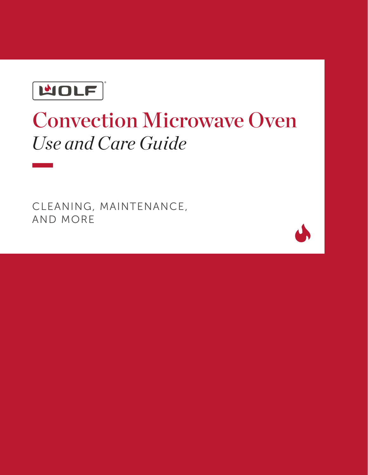**WOLF** 

# Convection Microwave Oven *Use and Care Guide*

CLEANING, MAINTENANCE, AND MORE

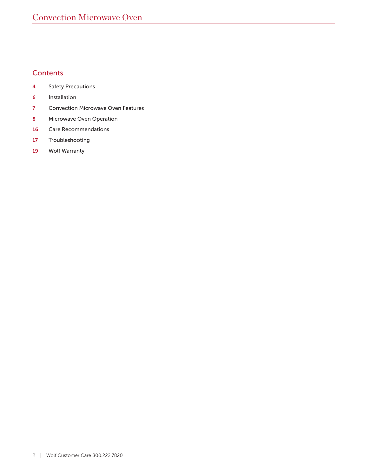# **Contents**

- Safety Precautions
- Installation
- Convection Microwave Oven Features
- 8 Microwave Oven Operation
- Care Recommendations
- Troubleshooting
- Wolf Warranty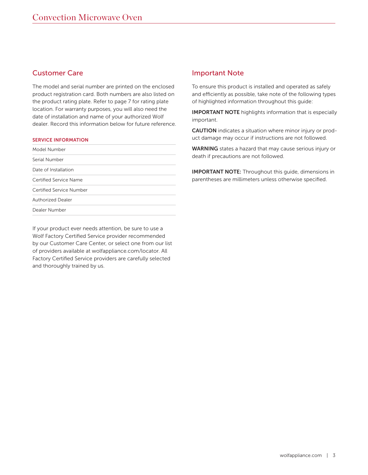# Customer Care

The model and serial number are printed on the enclosed product registration card. Both numbers are also listed on the product rating plate. Refer to page 7 for rating plate location. For warranty purposes, you will also need the date of installation and name of your authorized Wolf dealer. Record this information below for future reference.

#### SERVICE INFORMATION

| Model Number             |  |
|--------------------------|--|
| Serial Number            |  |
| Date of Installation     |  |
| Certified Service Name   |  |
| Certified Service Number |  |
| <b>Authorized Dealer</b> |  |
| Dealer Number            |  |

If your product ever needs attention, be sure to use a Wolf Factory Certified Service provider recommended by our Customer Care Center, or select one from our list of providers available at wolfappliance.com/locator. All Factory Certified Service providers are carefully selected and thoroughly trained by us.

## Important Note

To ensure this product is installed and operated as safely and efficiently as possible, take note of the following types of highlighted information throughout this guide:

IMPORTANT NOTE highlights information that is especially important.

CAUTION indicates a situation where minor injury or product damage may occur if instructions are not followed.

WARNING states a hazard that may cause serious injury or death if precautions are not followed.

IMPORTANT NOTE: Throughout this guide, dimensions in parentheses are millimeters unless otherwise specified.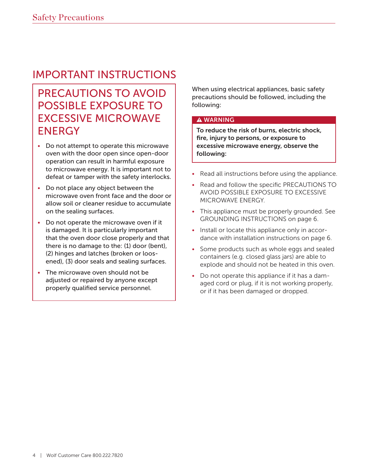# IMPORTANT INSTRUCTIONS

# PRECAUTIONS TO AVOID POSSIBLE EXPOSURE TO EXCESSIVE MICROWAVE **ENERGY**

- Do not attempt to operate this microwave oven with the door open since open-door operation can result in harmful exposure to microwave energy. It is important not to defeat or tamper with the safety interlocks.
- Do not place any object between the microwave oven front face and the door or allow soil or cleaner residue to accumulate on the sealing surfaces.
- Do not operate the microwave oven if it is damaged. It is particularly important that the oven door close properly and that there is no damage to the: (1) door (bent), (2) hinges and latches (broken or loosened), (3) door seals and sealing surfaces.
- The microwave oven should not be adjusted or repaired by anyone except properly qualified service personnel.

When using electrical appliances, basic safety precautions should be followed, including the following:

# **A WARNING**

To reduce the risk of burns, electric shock, fire, injury to persons, or exposure to excessive microwave energy, observe the following:

- Read all instructions before using the appliance.
- Read and follow the specific PRECAUTIONS TO AVOID POSSIBLE EXPOSURE TO EXCESSIVE MICROWAVE ENERGY.
- This appliance must be properly grounded. See GROUNDING INSTRUCTIONS on page 6.
- Install or locate this appliance only in accordance with installation instructions on page 6.
- Some products such as whole eggs and sealed containers (e.g. closed glass jars) are able to explode and should not be heated in this oven.
- Do not operate this appliance if it has a damaged cord or plug, if it is not working properly, or if it has been damaged or dropped.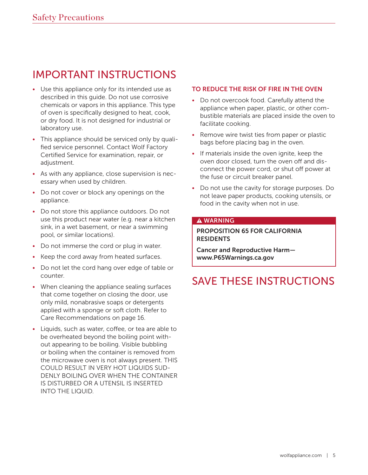# IMPORTANT INSTRUCTIONS

- Use this appliance only for its intended use as described in this guide. Do not use corrosive chemicals or vapors in this appliance. This type of oven is specifically designed to heat, cook, or dry food. It is not designed for industrial or laboratory use.
- This appliance should be serviced only by qualified service personnel. Contact Wolf Factory Certified Service for examination, repair, or adjustment.
- As with any appliance, close supervision is necessary when used by children.
- Do not cover or block any openings on the appliance.
- Do not store this appliance outdoors. Do not use this product near water (e.g. near a kitchen sink, in a wet basement, or near a swimming pool, or similar locations).
- Do not immerse the cord or plug in water.
- Keep the cord away from heated surfaces.
- Do not let the cord hang over edge of table or counter.
- When cleaning the appliance sealing surfaces that come together on closing the door, use only mild, nonabrasive soaps or detergents applied with a sponge or soft cloth. Refer to Care Recommendations on page 16.
- Liquids, such as water, coffee, or tea are able to be overheated beyond the boiling point without appearing to be boiling. Visible bubbling or boiling when the container is removed from the microwave oven is not always present. THIS COULD RESULT IN VERY HOT LIQUIDS SUD-DENLY BOILING OVER WHEN THE CONTAINER IS DISTURBED OR A UTENSIL IS INSERTED INTO THE LIQUID.

# TO REDUCE THE RISK OF FIRE IN THE OVEN

- Do not overcook food. Carefully attend the appliance when paper, plastic, or other combustible materials are placed inside the oven to facilitate cooking.
- Remove wire twist ties from paper or plastic bags before placing bag in the oven.
- If materials inside the oven ignite, keep the oven door closed, turn the oven off and disconnect the power cord, or shut off power at the fuse or circuit breaker panel.
- Do not use the cavity for storage purposes. Do not leave paper products, cooking utensils, or food in the cavity when not in use.

## **A WARNING**

PROPOSITION 65 FOR CALIFORNIA **RESIDENTS** 

Cancer and Reproductive Harm www.P65Warnings.ca.gov

# SAVE THESE INSTRUCTIONS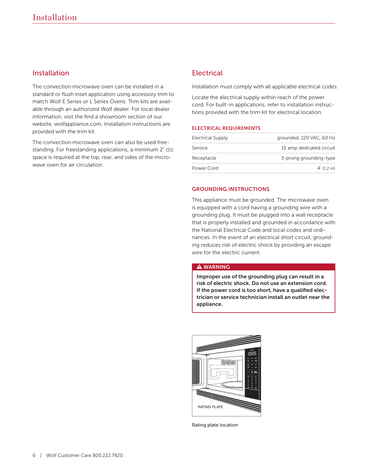# Installation

The convection microwave oven can be installed in a standard or flush inset application using accessory trim to match Wolf E Series or L Series Ovens. Trim kits are available through an authorized Wolf dealer. For local dealer information, visit the find a showroom section of our website, wolfappliance.com. Installation instructions are provided with the trim kit.

The convection microwave oven can also be used freestanding. For freestanding applications, a minimum 2" (51) space is required at the top, rear, and sides of the microwave oven for air circulation.

# **Electrical**

Installation must comply with all applicable electrical codes.

Locate the electrical supply within reach of the power cord. For built-in applications, refer to installation instructions provided with the trim kit for electrical location.

#### ELECTRICAL REQUIREMENTS

| <b>Electrical Supply</b> | grounded, 120 VAC, 60 Hz |
|--------------------------|--------------------------|
| Service                  | 15 amp dedicated circuit |
| Receptacle               | 3-prong grounding-type   |
| Power Cord               | $4'$ (1.2 m)             |

#### GROUNDING INSTRUCTIONS

This appliance must be grounded. The microwave oven is equipped with a cord having a grounding wire with a grounding plug. It must be plugged into a wall receptacle that is properly installed and grounded in accordance with the National Electrical Code and local codes and ordinances. In the event of an electrical short circuit, grounding reduces risk of electric shock by providing an escape wire for the electric current.

#### **A WARNING**

Improper use of the grounding plug can result in a risk of electric shock. Do not use an extension cord. If the power cord is too short, have a qualified electrician or service technician install an outlet near the appliance.



Rating plate location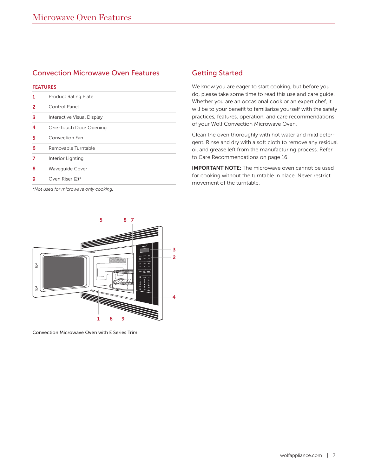# Convection Microwave Oven Features

#### FEATURES

| 1 | <b>Product Rating Plate</b> |
|---|-----------------------------|
| 2 | Control Panel               |
| 3 | Interactive Visual Display  |
| 4 | One-Touch Door Opening      |
| 5 | Convection Fan              |
| 6 | Removable Turntable         |
| 7 | Interior Lighting           |
| 8 | <b>Wavequide Cover</b>      |
| 9 | Oven Riser (2)*             |

*\*Not used for microwave only cooking.*

# Getting Started

We know you are eager to start cooking, but before you do, please take some time to read this use and care guide. Whether you are an occasional cook or an expert chef, it will be to your benefit to familiarize yourself with the safety practices, features, operation, and care recommendations of your Wolf Convection Microwave Oven.

Clean the oven thoroughly with hot water and mild detergent. Rinse and dry with a soft cloth to remove any residual oil and grease left from the manufacturing process. Refer to Care Recommendations on page 16.

IMPORTANT NOTE: The microwave oven cannot be used for cooking without the turntable in place. Never restrict movement of the turntable.



Convection Microwave Oven with E Series Trim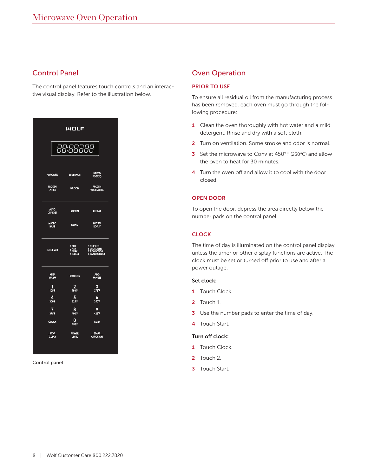# Control Panel

The control panel features touch controls and an interactive visual display. Refer to the illustration below.

| <b>NOLF</b>                    |                                        |                                                                     |  |
|--------------------------------|----------------------------------------|---------------------------------------------------------------------|--|
|                                | 88:88888                               |                                                                     |  |
| <b>POPCORN</b>                 | <b>BEVERAGE</b>                        | <b>BAKED</b><br><b>POTATO</b>                                       |  |
| <b>FROZEN</b><br><b>ENTREE</b> | <b>BACON</b>                           | <b>FROZEN</b><br><b>VEGETABLES</b>                                  |  |
| <b>AUTO</b><br><b>DEFROST</b>  | <b>SOFTEN</b>                          | <b>REHEAT</b>                                                       |  |
| <b>MICRO</b><br><b>BAKE</b>    | <b>CONV</b>                            | <b>MICRO</b><br><b>ROAST</b>                                        |  |
| <b>GOURMET</b>                 | 1 BEEF<br>2 FISH<br>3 Pork<br>4 Turkey | <b>5 CHICKEN<br/>6 VEGETABLES<br/>7 SLOW COOK<br/>8 BAKED GOODS</b> |  |
| <b>KEEP</b><br><b>WARM</b>     | <b>SETT NGS</b>                        | <b>ADD</b><br><b>MINUTE</b>                                         |  |
| 1<br>100°F                     | $\frac{2}{150F}$                       | 3<br>275F                                                           |  |
| Д<br>300°F                     | 5<br>325 <sup>°</sup> F                | 6<br>350F                                                           |  |
| 7<br>$375$ <sup>'</sup>        | 8<br>400 <sup>'</sup> F                | 9<br>425 <sup>'</sup> F                                             |  |
| <b>CLOCK</b>                   | O<br>450F                              | <b>TMER</b>                                                         |  |
| <b>STOP</b><br><b>CLEAR</b>    | <b>POWER</b><br><b>LEVEL</b>           | <b>START</b><br>QUCK ON                                             |  |

Control panel

# Oven Operation

#### PRIOR TO USE

To ensure all residual oil from the manufacturing process has been removed, each oven must go through the following procedure:

- **1** Clean the oven thoroughly with hot water and a mild detergent. Rinse and dry with a soft cloth.
- 2 Turn on ventilation. Some smoke and odor is normal.
- **3** Set the microwave to Conv at 450°F (230°C) and allow the oven to heat for 30 minutes.
- 4 Turn the oven off and allow it to cool with the door closed.

#### OPEN DOOR

To open the door, depress the area directly below the number pads on the control panel.

#### **CLOCK**

The time of day is illuminated on the control panel display unless the timer or other display functions are active. The clock must be set or turned off prior to use and after a power outage.

#### Set clock:

- 1 Touch Clock.
- 2 Touch 1.
- **3** Use the number pads to enter the time of day.
- 4 Touch Start.

#### Turn off clock:

- 1 Touch Clock.
- 2 Touch 2.
- **3** Touch Start.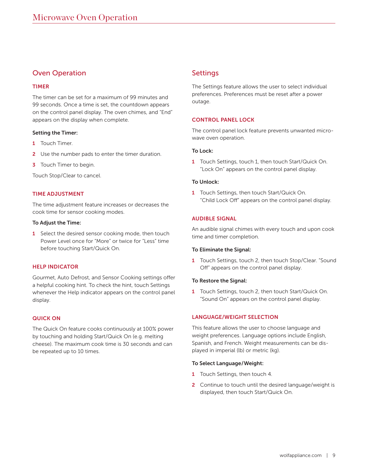# Oven Operation

#### TIMER

The timer can be set for a maximum of 99 minutes and 99 seconds. Once a time is set, the countdown appears on the control panel display. The oven chimes, and "End" appears on the display when complete.

#### Setting the Timer:

- 1 Touch Timer.
- 2 Use the number pads to enter the timer duration.
- **3** Touch Timer to begin.

Touch Stop/Clear to cancel.

#### TIME ADJUSTMENT

The time adjustment feature increases or decreases the cook time for sensor cooking modes.

#### To Adjust the Time:

1 Select the desired sensor cooking mode, then touch Power Level once for "More" or twice for "Less" time before touching Start/Quick On.

#### HELP INDICATOR

Gourmet, Auto Defrost, and Sensor Cooking settings offer a helpful cooking hint. To check the hint, touch Settings whenever the Help indicator appears on the control panel display.

#### QUICK ON

The Quick On feature cooks continuously at 100% power by touching and holding Start/Quick On (e.g. melting cheese). The maximum cook time is 30 seconds and can be repeated up to 10 times.

# **Settings**

The Settings feature allows the user to select individual preferences. Preferences must be reset after a power outage.

#### CONTROL PANEL LOCK

The control panel lock feature prevents unwanted microwave oven operation.

#### To Lock:

1 Touch Settings, touch 1, then touch Start/Quick On. "Lock On" appears on the control panel display.

#### To Unlock:

1 Touch Settings, then touch Start/Quick On. "Child Lock Off" appears on the control panel display.

#### AUDIBLE SIGNAL

An audible signal chimes with every touch and upon cook time and timer completion.

#### To Eliminate the Signal:

1 Touch Settings, touch 2, then touch Stop/Clear. "Sound Off" appears on the control panel display.

#### To Restore the Signal:

1 Touch Settings, touch 2, then touch Start/Quick On. "Sound On" appears on the control panel display.

#### LANGUAGE/WEIGHT SELECTION

This feature allows the user to choose language and weight preferences. Language options include English, Spanish, and French. Weight measurements can be displayed in imperial (lb) or metric (kg).

#### To Select Language/Weight:

- 1 Touch Settings, then touch 4.
- 2 Continue to touch until the desired language/weight is displayed, then touch Start/Quick On.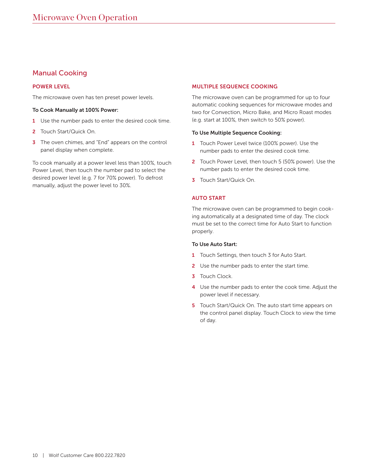# Manual Cooking

#### POWER LEVEL

The microwave oven has ten preset power levels.

#### To Cook Manually at 100% Power:

- 1 Use the number pads to enter the desired cook time.
- 2 Touch Start/Quick On.
- **3** The oven chimes, and "End" appears on the control panel display when complete.

To cook manually at a power level less than 100%, touch Power Level, then touch the number pad to select the desired power level (e.g. 7 for 70% power). To defrost manually, adjust the power level to 30%.

#### MULTIPLE SEQUENCE COOKING

The microwave oven can be programmed for up to four automatic cooking sequences for microwave modes and two for Convection, Micro Bake, and Micro Roast modes (e.g. start at 100%, then switch to 50% power).

#### To Use Multiple Sequence Cooking:

- 1 Touch Power Level twice (100% power). Use the number pads to enter the desired cook time.
- 2 Touch Power Level, then touch 5 (50% power). Use the number pads to enter the desired cook time.
- **3** Touch Start/Quick On.

#### AUTO START

The microwave oven can be programmed to begin cooking automatically at a designated time of day. The clock must be set to the correct time for Auto Start to function properly.

#### To Use Auto Start:

- 1 Touch Settings, then touch 3 for Auto Start.
- 2 Use the number pads to enter the start time.
- **3** Touch Clock.
- 4 Use the number pads to enter the cook time. Adjust the power level if necessary.
- 5 Touch Start/Quick On. The auto start time appears on the control panel display. Touch Clock to view the time of day.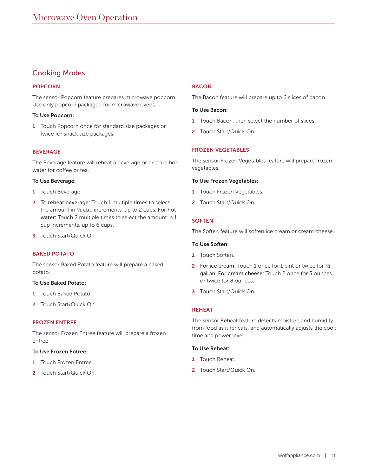# Cooking Modes

#### POPCORN

The sensor Popcorn feature prepares microwave popcorn. Use only popcorn packaged for microwave ovens.

#### To Use Popcorn:

1 Touch Popcorn once for standard size packages or twice for snack size packages.

#### BEVERAGE

The Beverage feature will reheat a beverage or prepare hot water for coffee or tea.

#### To Use Beverage:

- 1 Touch Beverage.
- 2 To reheat beverage: Touch 1 multiple times to select the amount in  $\frac{1}{2}$  cup increments, up to 2 cups. For hot water: Touch 2 multiple times to select the amount in 1 cup increments, up to 6 cups.
- **3** Touch Start/Quick On.

#### BAKED POTATO

The sensor Baked Potato feature will prepare a baked potato.

#### To Use Baked Potato:

- 1 Touch Baked Potato.
- 2 Touch Start/Quick On.

#### FROZEN ENTREE

The sensor Frozen Entree feature will prepare a frozen entree.

#### To Use Frozen Entree:

- 1 Touch Frozen Entree.
- 2 Touch Start/Quick On.

#### **BACON**

The Bacon feature will prepare up to 6 slices of bacon.

#### To Use Bacon:

- 1 Touch Bacon, then select the number of slices.
- 2 Touch Start/Quick On.

#### FROZEN VEGETABLES

The sensor Frozen Vegetables feature will prepare frozen vegetables.

#### To Use Frozen Vegetables:

- 1 Touch Frozen Vegetables.
- 2 Touch Start/Quick On.

#### **SOFTEN**

The Soften feature will soften ice cream or cream cheese.

#### To Use Soften:

- 1 Touch Soften.
- 2 For ice cream: Touch 1 once for 1 pint or twice for  $\frac{1}{2}$ gallon. For cream cheese: Touch 2 once for 3 ounces or twice for 8 ounces.
- 3 Touch Start/Quick On.

#### REHEAT

The sensor Reheat feature detects moisture and humidity from food as it reheats, and automatically adjusts the cook time and power level.

#### To Use Reheat:

- 1 Touch Reheat.
- 2 Touch Start/Quick On.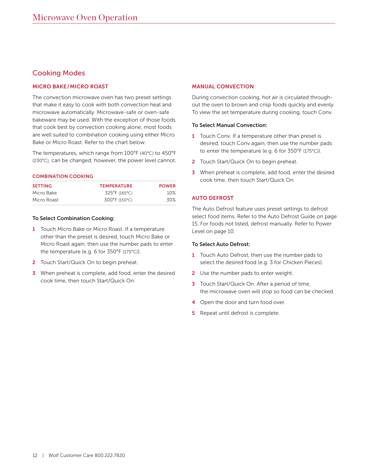# Cooking Modes

#### MICRO BAKE/MICRO ROAST

The convection microwave oven has two preset settings that make it easy to cook with both convection heat and microwave automatically. Microwave-safe or oven-safe bakeware may be used. With the exception of those foods that cook best by convection cooking alone, most foods are well suited to combination cooking using either Micro Bake or Micro Roast. Refer to the chart below.

The temperatures, which range from 100°F (40°C) to 450°F (230°C), can be changed; however, the power level cannot.

#### COMBINATION COOKING

| <b>SETTING</b> | <b>TEMPERATURE</b>      | <b>POWER</b> |
|----------------|-------------------------|--------------|
| Micro Bake     | $325^{\circ}$ F (165°C) | 10%          |
| Micro Roast    | 300°F (150°C)           | 30%          |

#### To Select Combination Cooking:

- 1 Touch Micro Bake or Micro Roast. If a temperature other than the preset is desired, touch Micro Bake or Micro Roast again, then use the number pads to enter the temperature (e.g. 6 for 350°F (175°C)).
- 2 Touch Start/Quick On to begin preheat.
- **3** When preheat is complete, add food, enter the desired cook time, then touch Start/Quick On.

#### MANUAL CONVECTION

During convection cooking, hot air is circulated throughout the oven to brown and crisp foods quickly and evenly. To view the set temperature during cooking, touch Conv.

#### To Select Manual Convection:

- 1 Touch Conv. If a temperature other than preset is desired, touch Conv again, then use the number pads to enter the temperature (e.g. 6 for 350°F (175°C)).
- 2 Touch Start/Quick On to begin preheat.
- **3** When preheat is complete, add food, enter the desired cook time, then touch Start/Quick On.

#### AUTO DEFROST

The Auto Defrost feature uses preset settings to defrost select food items. Refer to the Auto Defrost Guide on page 15. For foods not listed, defrost manually. Refer to Power Level on page 10.

#### To Select Auto Defrost:

- 1 Touch Auto Defrost, then use the number pads to select the desired food (e.g. 3 for Chicken Pieces).
- 2 Use the number pads to enter weight.
- **3** Touch Start/Quick On. After a period of time, the microwave oven will stop so food can be checked.
- 4 Open the door and turn food over.
- **5** Repeat until defrost is complete.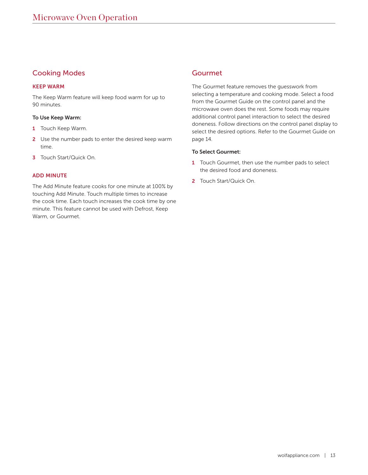# Cooking Modes

#### KEEP WARM

The Keep Warm feature will keep food warm for up to 90 minutes.

#### To Use Keep Warm:

- 1 Touch Keep Warm.
- 2 Use the number pads to enter the desired keep warm time.
- **3** Touch Start/Quick On.

#### ADD MINUTE

The Add Minute feature cooks for one minute at 100% by touching Add Minute. Touch multiple times to increase the cook time. Each touch increases the cook time by one minute. This feature cannot be used with Defrost, Keep Warm, or Gourmet.

# Gourmet

The Gourmet feature removes the guesswork from selecting a temperature and cooking mode. Select a food from the Gourmet Guide on the control panel and the microwave oven does the rest. Some foods may require additional control panel interaction to select the desired doneness. Follow directions on the control panel display to select the desired options. Refer to the Gourmet Guide on page 14.

#### To Select Gourmet:

- 1 Touch Gourmet, then use the number pads to select the desired food and doneness.
- 2 Touch Start/Quick On.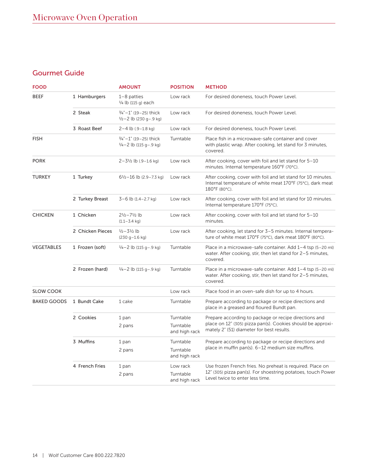# Gourmet Guide

| <b>FOOD</b>        |                  | <b>AMOUNT</b>                                                            | <b>POSITION</b>            | <b>METHOD</b>                                                                                                                               |
|--------------------|------------------|--------------------------------------------------------------------------|----------------------------|---------------------------------------------------------------------------------------------------------------------------------------------|
| <b>BEEF</b>        | 1 Hamburgers     | $1-8$ patties<br>$\frac{1}{4}$ lb (115 g) each                           | Low rack                   | For desired doneness, touch Power Level.                                                                                                    |
|                    | 2 Steak          | $\frac{3}{4}$ "-1" (19-25) thick<br>$\frac{1}{2}$ - 2 lb (230 g - .9 kg) | Low rack                   | For desired doneness, touch Power Level.                                                                                                    |
|                    | 3 Roast Beef     | $2 - 4$ lb (.9-1.8 kg)                                                   | Low rack                   | For desired doneness, touch Power Level.                                                                                                    |
| <b>FISH</b>        |                  | $\frac{3}{4}$ "-1" (19-25) thick<br>$1/4 - 2$ lb (115 g-.9 kg)           | Turntable                  | Place fish in a microwave-safe container and cover<br>with plastic wrap. After cooking, let stand for 3 minutes,<br>covered.                |
| <b>PORK</b>        |                  | $2 - 3\frac{1}{2}$ lb (.9-1.6 kg)                                        | Low rack                   | After cooking, cover with foil and let stand for 5-10<br>minutes. Internal temperature 160°F (70°C).                                        |
| <b>TURKEY</b>      | 1 Turkey         | $6\frac{1}{2} - 16$ lb (2.9 - 7.3 kg)                                    | Low rack                   | After cooking, cover with foil and let stand for 10 minutes.<br>Internal temperature of white meat 170°F (75°C), dark meat<br>180°F (80°C). |
|                    | 2 Turkey Breast  | $3-6$ lb $(1.4-2.7$ kg)                                                  | Low rack                   | After cooking, cover with foil and let stand for 10 minutes.<br>Internal temperature 170°F (75°C).                                          |
| <b>CHICKEN</b>     | 1 Chicken        | $2^{1/2} - 7^{1/2}$ lb<br>$(1.1 - 3.4 \text{ kg})$                       | Low rack                   | After cooking, cover with foil and let stand for 5-10<br>minutes.                                                                           |
|                    | 2 Chicken Pieces | $\frac{1}{2} - \frac{31}{2}$ lb<br>$(230 g - 1.6 kg)$                    | Low rack                   | After cooking, let stand for 3-5 minutes. Internal tempera-<br>ture of white meat 170°F (75°C), dark meat 180°F (80°C).                     |
| VEGETABLES         | 1 Frozen (soft)  | $\frac{1}{4}$ - 2 lb (115 g - 9 kg)                                      | Turntable                  | Place in a microwave-safe container. Add 1-4 tsp (5-20 ml)<br>water. After cooking, stir, then let stand for 2-5 minutes,<br>covered.       |
|                    | 2 Frozen (hard)  | $\frac{1}{4}$ - 2 lb (115 g - 9 kg)                                      | Turntable                  | Place in a microwave-safe container. Add 1-4 tsp (5-20 ml)<br>water. After cooking, stir, then let stand for 2-5 minutes,<br>covered.       |
| <b>SLOW COOK</b>   |                  |                                                                          | Low rack                   | Place food in an oven-safe dish for up to 4 hours.                                                                                          |
| <b>BAKED GOODS</b> | 1 Bundt Cake     | 1 cake                                                                   | Turntable                  | Prepare according to package or recipe directions and<br>place in a greased and floured Bundt pan.                                          |
|                    | 2 Cookies        | 1 pan                                                                    | Turntable                  | Prepare according to package or recipe directions and                                                                                       |
|                    |                  | 2 pans                                                                   | Turntable<br>and high rack | place on 12" (305) pizza pan(s). Cookies should be approxi-<br>mately 2" (51) diameter for best results.                                    |
|                    | 3 Muffins        | 1 pan                                                                    | Turntable                  | Prepare according to package or recipe directions and                                                                                       |
|                    |                  | 2 pans                                                                   | Turntable<br>and high rack | place in muffin pan(s). 6-12 medium size muffins.                                                                                           |
|                    | 4 French Fries   | 1 pan                                                                    | Low rack                   | Use frozen French fries. No preheat is required. Place on                                                                                   |
|                    |                  | 2 pans                                                                   | Turntable<br>and high rack | 12" (305) pizza pan(s). For shoestring potatoes, touch Power<br>Level twice to enter less time.                                             |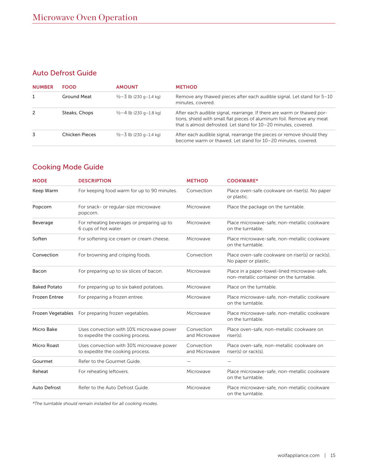# Auto Defrost Guide

| <b>NUMBER</b> | <b>FOOD</b>    | <b>AMOUNT</b>                       | <b>METHOD</b>                                                                                                                                                                                                       |
|---------------|----------------|-------------------------------------|---------------------------------------------------------------------------------------------------------------------------------------------------------------------------------------------------------------------|
|               | Ground Meat    | $\frac{1}{2}$ -3 lb (230 g-1.4 kg)  | Remove any thawed pieces after each audible signal. Let stand for 5–10<br>minutes, covered.                                                                                                                         |
| 2             | Steaks, Chops  | $\frac{1}{2} - 4$ lb (230 g-1.8 kg) | After each audible signal, rearrange. If there are warm or thawed por-<br>tions, shield with small flat pieces of aluminum foil. Remove any meat<br>that is almost defrosted. Let stand for 10-20 minutes, covered. |
| 3             | Chicken Pieces | $\frac{1}{2}$ –3 lb (230 g–1.4 kg)  | After each audible signal, rearrange the pieces or remove should they<br>become warm or thawed. Let stand for 10-20 minutes, covered.                                                                               |

# Cooking Mode Guide

| <b>MODE</b>          | <b>DESCRIPTION</b>                                                           | <b>METHOD</b>               | <b>COOKWARE*</b>                                                                         |
|----------------------|------------------------------------------------------------------------------|-----------------------------|------------------------------------------------------------------------------------------|
| Keep Warm            | For keeping food warm for up to 90 minutes.                                  | Convection                  | Place oven-safe cookware on riser(s). No paper<br>or plastic.                            |
| Popcorn              | For snack- or regular-size microwave<br>popcorn.                             | Microwave                   | Place the package on the turntable.                                                      |
| Beverage             | For reheating beverages or preparing up to<br>6 cups of hot water.           | Microwave                   | Place microwave-safe, non-metallic cookware<br>on the turntable.                         |
| Soften               | For softening ice cream or cream cheese.                                     | Microwave                   | Place microwave-safe, non-metallic cookware<br>on the turntable.                         |
| Convection           | For browning and crisping foods.                                             | Convection                  | Place oven-safe cookware on riser(s) or rack(s).<br>No paper or plastic.                 |
| Bacon                | For preparing up to six slices of bacon.                                     | Microwave                   | Place in a paper-towel-lined microwave-safe,<br>non-metallic container on the turntable. |
| <b>Baked Potato</b>  | For preparing up to six baked potatoes.                                      | Microwave                   | Place on the turntable.                                                                  |
| <b>Frozen Entree</b> | For preparing a frozen entree.                                               | Microwave                   | Place microwave-safe, non-metallic cookware<br>on the turntable.                         |
|                      | Frozen Vegetables For preparing frozen vegetables.                           | Microwave                   | Place microwave-safe, non-metallic cookware<br>on the turntable.                         |
| Micro Bake           | Uses convection with 10% microwave power<br>to expedite the cooking process. | Convection<br>and Microwave | Place oven-safe, non-metallic cookware on<br>riser(s).                                   |
| Micro Roast          | Uses convection with 30% microwave power<br>to expedite the cooking process. | Convection<br>and Microwave | Place oven-safe, non-metallic cookware on<br>riser(s) or rack(s).                        |
| Gourmet              | Refer to the Gourmet Guide.                                                  |                             |                                                                                          |
| Reheat               | For reheating leftovers.                                                     | Microwave                   | Place microwave-safe, non-metallic cookware<br>on the turntable.                         |
| <b>Auto Defrost</b>  | Refer to the Auto Defrost Guide.                                             | Microwave                   | Place microwave-safe, non-metallic cookware<br>on the turntable.                         |

*\*The turntable should remain installed for all cooking modes.*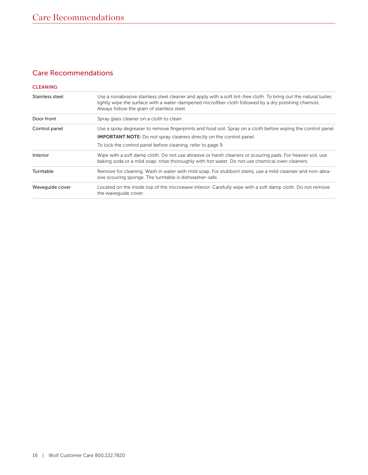# Care Recommendations

# CLEANING Stainless steel **Stainless steel** Use a nonabrasive stainless steel cleaner and apply with a soft lint-free cloth. To bring out the natural luster, lightly wipe the surface with a water-dampened microfiber cloth followed by a dry polishing chamois. Always follow the grain of stainless steel. Door front Spray glass cleaner on a cloth to clean. Control panel Use a spray degreaser to remove fingerprints and food soil. Spray on a cloth before wiping the control panel. IMPORTANT NOTE: Do not spray cleaners directly on the control panel. To lock the control panel before cleaning, refer to page 9. Interior Wipe with a soft damp cloth. Do not use abrasive or harsh cleaners or scouring pads. For heavier soil, use baking soda or a mild soap; rinse thoroughly with hot water. Do not use chemical oven cleaners. Turntable Remove for cleaning. Wash in water with mild soap. For stubborn stains, use a mild cleanser and non-abrasive scouring sponge. The turntable is dishwasher-safe. Waveguide cover **Located on the inside top of the microwave interior**. Carefully wipe with a soft damp cloth. Do not remove the waveguide cover.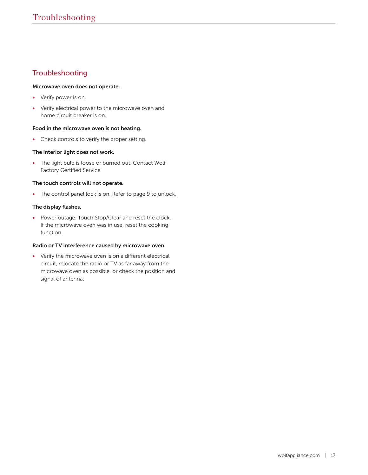# Troubleshooting

#### Microwave oven does not operate.

- Verify power is on.
- Verify electrical power to the microwave oven and home circuit breaker is on.

#### Food in the microwave oven is not heating.

• Check controls to verify the proper setting.

#### The interior light does not work.

• The light bulb is loose or burned out. Contact Wolf Factory Certified Service.

#### The touch controls will not operate.

• The control panel lock is on. Refer to page 9 to unlock.

#### The display flashes.

• Power outage. Touch Stop/Clear and reset the clock. If the microwave oven was in use, reset the cooking function.

#### Radio or TV interference caused by microwave oven.

• Verify the microwave oven is on a different electrical circuit, relocate the radio or TV as far away from the microwave oven as possible, or check the position and signal of antenna.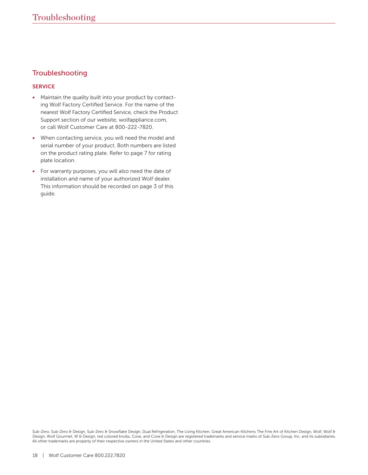# Troubleshooting

#### **SERVICE**

- Maintain the quality built into your product by contacting Wolf Factory Certified Service. For the name of the nearest Wolf Factory Certified Service, check the Product Support section of our website, wolfappliance.com, or call Wolf Customer Care at 800-222-7820.
- When contacting service, you will need the model and serial number of your product. Both numbers are listed on the product rating plate. Refer to page 7 for rating plate location.
- For warranty purposes, you will also need the date of installation and name of your authorized Wolf dealer. This information should be recorded on page 3 of this guide.

Sub-Zero, Sub-Zero & Design, Sub-Zero & Snowflake Design, Dual Refrigeration, The Living Kitchen, Great American Kitchens The Fine Art of Kitchen Design, Wolf, Wolf & Design, Wolf Gourmet, W & Design, red colored knobs, Cove, and Cove & Design are registered trademarks and service marks of Sub-Zero Group, Inc. and its subsidiaries. All other trademarks are property of their respective owners in the United States and other countries.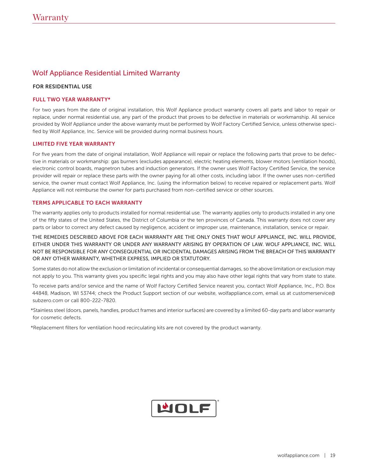# Wolf Appliance Residential Limited Warranty

#### FOR RESIDENTIAL USE

#### FULL TWO YEAR WARRANTY\*

For two years from the date of original installation, this Wolf Appliance product warranty covers all parts and labor to repair or replace, under normal residential use, any part of the product that proves to be defective in materials or workmanship. All service provided by Wolf Appliance under the above warranty must be performed by Wolf Factory Certified Service, unless otherwise specified by Wolf Appliance, Inc. Service will be provided during normal business hours.

#### LIMITED FIVE YEAR WARRANTY

For five years from the date of original installation, Wolf Appliance will repair or replace the following parts that prove to be defective in materials or workmanship: gas burners (excludes appearance), electric heating elements, blower motors (ventilation hoods), electronic control boards, magnetron tubes and induction generators. If the owner uses Wolf Factory Certified Service, the service provider will repair or replace these parts with the owner paying for all other costs, including labor. If the owner uses non-certified service, the owner must contact Wolf Appliance, Inc. (using the information below) to receive repaired or replacement parts. Wolf Appliance will not reimburse the owner for parts purchased from non-certified service or other sources.

#### TERMS APPLICABLE TO EACH WARRANTY

The warranty applies only to products installed for normal residential use. The warranty applies only to products installed in any one of the fifty states of the United States, the District of Columbia or the ten provinces of Canada. This warranty does not cover any parts or labor to correct any defect caused by negligence, accident or improper use, maintenance, installation, service or repair.

THE REMEDIES DESCRIBED ABOVE FOR EACH WARRANTY ARE THE ONLY ONES THAT WOLF APPLIANCE, INC. WILL PROVIDE, EITHER UNDER THIS WARRANTY OR UNDER ANY WARRANTY ARISING BY OPERATION OF LAW. WOLF APPLIANCE, INC. WILL NOT BE RESPONSIBLE FOR ANY CONSEQUENTIAL OR INCIDENTAL DAMAGES ARISING FROM THE BREACH OF THIS WARRANTY OR ANY OTHER WARRANTY, WHETHER EXPRESS, IMPLIED OR STATUTORY.

Some states do not allow the exclusion or limitation of incidental or consequential damages, so the above limitation or exclusion may not apply to you. This warranty gives you specific legal rights and you may also have other legal rights that vary from state to state.

To receive parts and/or service and the name of Wolf Factory Certified Service nearest you, contact Wolf Appliance, Inc., P.O. Box 44848, Madison, WI 53744; check the Product Support section of our website, wolfappliance.com, email us at customerservice@ subzero.com or call 800-222-7820.

\*Stainless steel (doors, panels, handles, product frames and interior surfaces) are covered by a limited 60-day parts and labor warranty for cosmetic defects.

\*Replacement filters for ventilation hood recirculating kits are not covered by the product warranty.

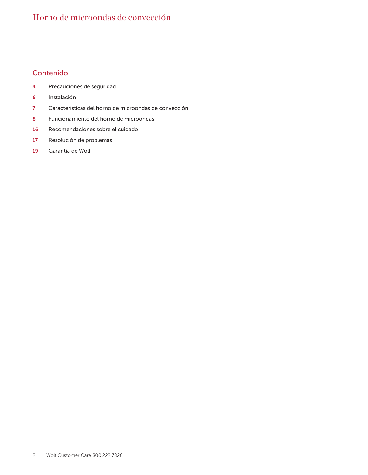# Contenido

- Precauciones de seguridad
- Instalación
- Características del horno de microondas de convección
- Funcionamiento del horno de microondas
- Recomendaciones sobre el cuidado
- Resolución de problemas
- Garantía de Wolf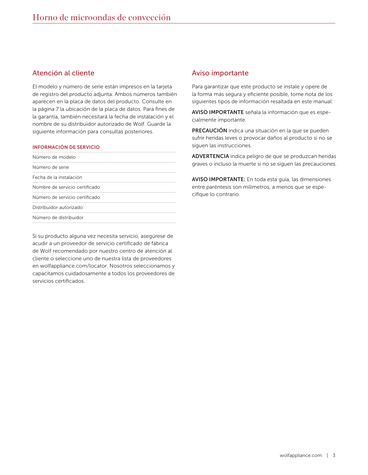# Atención al cliente

El modelo y número de serie están impresos en la tarjeta de registro del producto adjunta. Ambos números también aparecen en la placa de datos del producto. Consulte en la página 7 la ubicación de la placa de datos. Para fines de la garantía, también necesitará la fecha de instalación y el nombre de su distribuidor autorizado de Wolf. Guarde la siguiente información para consultas posteriores.

#### INFORMACIÓN DE SERVICIO

| Número de modelo               |
|--------------------------------|
| Número de serie                |
| Fecha de la instalación        |
| Nombre de servicio certificado |
| Número de servicio certificado |
| Distribuidor autorizado        |
| Número de distribuidor         |

Si su producto alguna vez necesita servicio, asegúrese de acudir a un proveedor de servicio certificado de fábrica de Wolf recomendado por nuestro centro de atención al cliente o seleccione uno de nuestra lista de proveedores en wolfappliance.com/locator. Nosotros seleccionamos y capacitamos cuidadosamente a todos los proveedores de servicios certificados.

# Aviso importante

Para garantizar que este producto se instale y opere de la forma más segura y eficiente posible, tome nota de los siguientes tipos de información resaltada en este manual:

AVISO IMPORTANTE señala la información que es especialmente importante.

PRECAUCIÓN indica una situación en la que se pueden sufrir heridas leves o provocar daños al producto si no se siguen las instrucciones.

ADVERTENCIA indica peligro de que se produzcan heridas graves o incluso la muerte si no se siguen las precauciones.

AVISO IMPORTANTE: En toda esta guía, las dimensiones entre paréntesis son milímetros, a menos que se especifique lo contrario.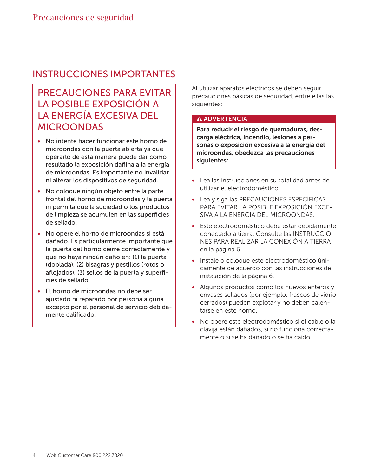# INSTRUCCIONES IMPORTANTES

# PRECAUCIONES PARA EVITAR LA POSIBLE EXPOSICIÓN A LA ENERGÍA EXCESIVA DEL MICROONDAS

- No intente hacer funcionar este horno de microondas con la puerta abierta ya que operarlo de esta manera puede dar como resultado la exposición dañina a la energía de microondas. Es importante no invalidar ni alterar los dispositivos de seguridad.
- No coloque ningún objeto entre la parte frontal del horno de microondas y la puerta ni permita que la suciedad o los productos de limpieza se acumulen en las superficies de sellado.
- No opere el horno de microondas si está dañado. Es particularmente importante que la puerta del horno cierre correctamente y que no haya ningún daño en: (1) la puerta (doblada), (2) bisagras y pestillos (rotos o aflojados), (3) sellos de la puerta y superficies de sellado.
- El horno de microondas no debe ser ajustado ni reparado por persona alguna excepto por el personal de servicio debidamente calificado.

Al utilizar aparatos eléctricos se deben seguir precauciones básicas de seguridad, entre ellas las siguientes:

# **A ADVERTENCIA**

Para reducir el riesgo de quemaduras, descarga eléctrica, incendio, lesiones a personas o exposición excesiva a la energía del microondas, obedezca las precauciones siguientes:

- Lea las instrucciones en su totalidad antes de utilizar el electrodoméstico.
- Lea y siga las PRECAUCIONES ESPECÍFICAS PARA EVITAR LA POSIBLE EXPOSICIÓN EXCE-SIVA A LA ENERGÍA DEL MICROONDAS.
- Este electrodoméstico debe estar debidamente conectado a tierra. Consulte las INSTRUCCIO-NES PARA REALIZAR LA CONEXIÓN A TIERRA en la página 6.
- Instale o coloque este electrodoméstico únicamente de acuerdo con las instrucciones de instalación de la página 6.
- Algunos productos como los huevos enteros y envases sellados (por ejemplo, frascos de vidrio cerrados) pueden explotar y no deben calentarse en este horno.
- No opere este electrodoméstico si el cable o la clavija están dañados, si no funciona correctamente o si se ha dañado o se ha caído.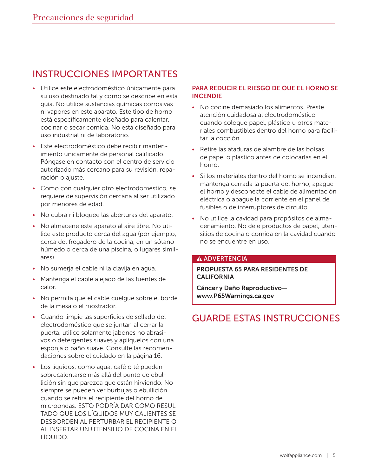# INSTRUCCIONES IMPORTANTES

- Utilice este electrodoméstico únicamente para su uso destinado tal y como se describe en esta guía. No utilice sustancias químicas corrosivas ni vapores en este aparato. Este tipo de horno está específicamente diseñado para calentar, cocinar o secar comida. No está diseñado para uso industrial ni de laboratorio.
- Este electrodoméstico debe recibir mantenimiento únicamente de personal calificado. Póngase en contacto con el centro de servicio autorizado más cercano para su revisión, reparación o ajuste.
- Como con cualquier otro electrodoméstico, se requiere de supervisión cercana al ser utilizado por menores de edad.
- No cubra ni bloquee las aberturas del aparato.
- No almacene este aparato al aire libre. No utilice este producto cerca del agua (por ejemplo, cerca del fregadero de la cocina, en un sótano húmedo o cerca de una piscina, o lugares similares).
- No sumerja el cable ni la clavija en agua.
- Mantenga el cable alejado de las fuentes de calor.
- No permita que el cable cuelgue sobre el borde de la mesa o el mostrador.
- Cuando limpie las superficies de sellado del electrodoméstico que se juntan al cerrar la puerta, utilice solamente jabones no abrasivos o detergentes suaves y aplíquelos con una esponja o paño suave. Consulte las recomendaciones sobre el cuidado en la página 16.
- Los líquidos, como agua, café o té pueden sobrecalentarse más allá del punto de ebullición sin que parezca que están hirviendo. No siempre se pueden ver burbujas o ebullición cuando se retira el recipiente del horno de microondas. ESTO PODRÍA DAR COMO RESUL-TADO QUE LOS LÍQUIDOS MUY CALIENTES SE DESBORDEN AL PERTURBAR EL RECIPIENTE O AL INSERTAR UN UTENSILIO DE COCINA EN EL LÍQUIDO.

# PARA REDUCIR EL RIESGO DE QUE EL HORNO SE INCENDIE

- No cocine demasiado los alimentos. Preste atención cuidadosa al electrodoméstico cuando coloque papel, plástico u otros materiales combustibles dentro del horno para facilitar la cocción.
- Retire las ataduras de alambre de las bolsas de papel o plástico antes de colocarlas en el horno.
- Si los materiales dentro del horno se incendian, mantenga cerrada la puerta del horno, apague el horno y desconecte el cable de alimentación eléctrica o apague la corriente en el panel de fusibles o de interruptores de circuito.
- No utilice la cavidad para propósitos de almacenamiento. No deje productos de papel, utensilios de cocina o comida en la cavidad cuando no se encuentre en uso.

#### **A ADVERTENCIA**

# PROPUESTA 65 PARA RESIDENTES DE **CALIFORNIA**

Cáncer y Daño Reproductivo www.P65Warnings.ca.gov

# GUARDE ESTAS INSTRUCCIONES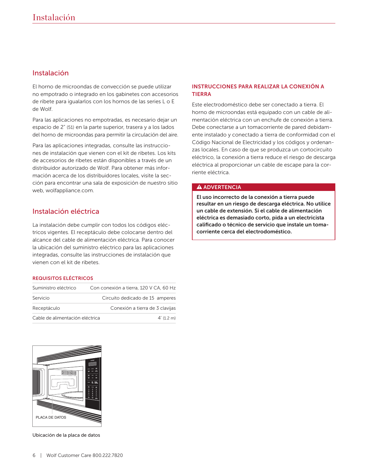# Instalación

El horno de microondas de convección se puede utilizar no empotrado o integrado en los gabinetes con accesorios de ribete para igualarlos con los hornos de las series L o E de Wolf.

Para las aplicaciones no empotradas, es necesario dejar un espacio de 2" (51) en la parte superior, trasera y a los lados del horno de microondas para permitir la circulación del aire.

Para las aplicaciones integradas, consulte las instrucciones de instalación que vienen con el kit de ribetes. Los kits de accesorios de ribetes están disponibles a través de un distribuidor autorizado de Wolf. Para obtener más información acerca de los distribuidores locales, visite la sección para encontrar una sala de exposición de nuestro sitio web, wolfappliance.com.

# Instalación eléctrica

La instalación debe cumplir con todos los códigos eléctricos vigentes. El receptáculo debe colocarse dentro del alcance del cable de alimentación eléctrica. Para conocer la ubicación del suministro eléctrico para las aplicaciones integradas, consulte las instrucciones de instalación que vienen con el kit de ribetes.

#### REQUISITOS ELÉCTRICOS

| Suministro eléctrico            | Con conexión a tierra, 120 V CA, 60 Hz |
|---------------------------------|----------------------------------------|
| Servicio                        | Circuito dedicado de 15 amperes        |
| Receptáculo                     | Conexión a tierra de 3 clavijas        |
| Cable de alimentación eléctrica | $4'$ (1.2 m)                           |

#### INSTRUCCIONES PARA REALIZAR LA CONEXIÓN A TIERRA

Este electrodoméstico debe ser conectado a tierra. El horno de microondas está equipado con un cable de alimentación eléctrica con un enchufe de conexión a tierra. Debe conectarse a un tomacorriente de pared debidamente instalado y conectado a tierra de conformidad con el Código Nacional de Electricidad y los códigos y ordenanzas locales. En caso de que se produzca un cortocircuito eléctrico, la conexión a tierra reduce el riesgo de descarga eléctrica al proporcionar un cable de escape para la corriente eléctrica.

#### **A ADVERTENCIA**

El uso incorrecto de la conexión a tierra puede resultar en un riesgo de descarga eléctrica. No utilice un cable de extensión. Si el cable de alimentación eléctrica es demasiado corto, pida a un electricista calificado o técnico de servicio que instale un tomacorriente cerca del electrodoméstico.



Ubicación de la placa de datos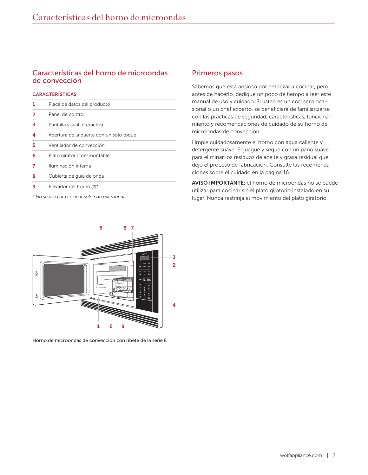# Características del horno de microondas de convección

#### CARACTERÍSTICAS

| 1 | Placa de datos del producto             |
|---|-----------------------------------------|
| 2 | Panel de control                        |
| 3 | Pantalla visual interactiva             |
| 4 | Apertura de la puerta con un solo toque |
| 5 | Ventilador de convección                |
| 6 | Plato giratorio desmontable             |
| 7 | Iluminación interna                     |
| 8 | Cubierta de quía de onda                |
| 9 | Elevador del horno (2)*                 |

*\* No se usa para cocinar solo con microondas.*

## Primeros pasos

Sabemos que está ansioso por empezar a cocinar, pero antes de hacerlo, dedique un poco de tiempo a leer este manual de uso y cuidado. Si usted es un cocinero ocasional o un chef experto, se beneficiará de familiarizarse con las prácticas de seguridad, características, funcionamiento y recomendaciones de cuidado de su horno de microondas de convección.

Limpie cuidadosamente el horno con agua caliente y detergente suave. Enjuague y seque con un paño suave para eliminar los residuos de aceite y grasa residual que dejó el proceso de fabricación. Consulte las recomendaciones sobre el cuidado en la página 16.

AVISO IMPORTANTE: el horno de microondas no se puede utilizar para cocinar sin el plato giratorio instalado en su lugar. Nunca restrinja el movimiento del plato giratorio.



Horno de microondas de convección con ribete de la serie E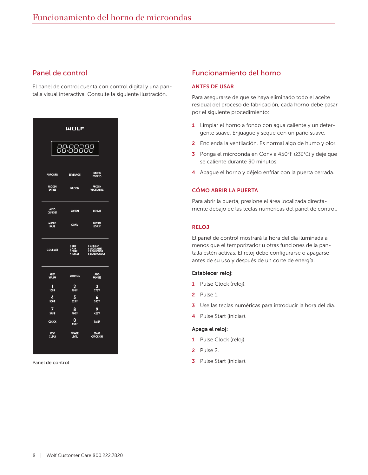# Panel de control

El panel de control cuenta con control digital y una pantalla visual interactiva. Consulte la siguiente ilustración.

| <b>WOLF</b>                    |                                       |                                                           |  |
|--------------------------------|---------------------------------------|-----------------------------------------------------------|--|
|                                | 88:88888                              |                                                           |  |
| <b>POPCORN</b>                 | <b>BEVERAGE</b>                       | <b>BAKED</b><br><b>POTATO</b>                             |  |
| <b>FROZEN</b><br><b>ENTREE</b> | <b>BACON</b>                          | <b>FROZEN</b><br><b>VEGETABLES</b>                        |  |
| <b>AUTO</b><br><b>DEFROST</b>  | <b>SOFTEN</b>                         | <b>REHEAT</b>                                             |  |
| <b>MICRO</b><br><b>BAKE</b>    | CONV                                  | <b>MICRO</b><br><b>ROAST</b>                              |  |
| <b>GOURMET</b>                 | 1 BEEF<br>2 HSH<br>3 PORK<br>4 TURKEY | 5 CHICKEN<br>6 VEGETABLES<br>7 SLOW COOK<br>8 BAKED GOODS |  |
| <b>KEEP</b><br><b>WARM</b>     | <b>SETTINGS</b>                       | <b>ADD</b><br><b>MINUTE</b>                               |  |
| 1<br>100°F                     | $\frac{2}{150F}$                      | 3<br>275F                                                 |  |
| 4<br>300°F                     | 5<br>325 <sup>°</sup> F               | 6<br>350 <sup>°</sup> F                                   |  |
| 7<br>375 <sup>*</sup> F        | 8<br>400°F                            | 9<br>425°F                                                |  |
| <b>CLOCK</b>                   | 0<br>450°F                            | <b>TIMER</b>                                              |  |
| <b>STOP</b><br><b>CLEAR</b>    | <b>POWER</b><br><b>LEVEL</b>          | <b>START</b><br>QUICK ON                                  |  |
|                                |                                       |                                                           |  |

Panel de control

# Funcionamiento del horno

#### ANTES DE USAR

Para asegurarse de que se haya eliminado todo el aceite residual del proceso de fabricación, cada horno debe pasar por el siguiente procedimiento:

- 1 Limpiar el horno a fondo con agua caliente y un detergente suave. Enjuague y seque con un paño suave.
- 2 Encienda la ventilación. Es normal algo de humo y olor.
- 3 Ponga el microonda en Conv a 450°F (230°C) y deje que se caliente durante 30 minutos.
- 4 Apague el horno y déjelo enfriar con la puerta cerrada.

#### CÓMO ABRIR LA PUERTA

Para abrir la puerta, presione el área localizada directamente debajo de las teclas numéricas del panel de control.

#### **RELOJ**

El panel de control mostrará la hora del día iluminada a menos que el temporizador u otras funciones de la pantalla estén activas. El reloj debe configurarse o apagarse antes de su uso y después de un corte de energía.

#### Establecer reloj:

- 1 Pulse Clock (reloj).
- 2 Pulse 1.
- 3 Use las teclas numéricas para introducir la hora del día.
- 4 Pulse Start (iniciar).

#### Apaga el reloj:

- 1 Pulse Clock (reloj).
- 2 Pulse 2.
- 3 Pulse Start (iniciar).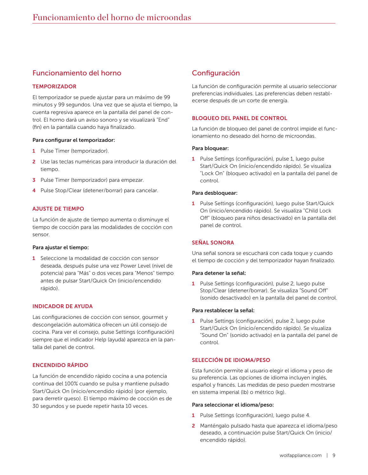# Funcionamiento del horno

#### **TEMPORIZADOR**

El temporizador se puede ajustar para un máximo de 99 minutos y 99 segundos. Una vez que se ajusta el tiempo, la cuenta regresiva aparece en la pantalla del panel de control. El horno dará un aviso sonoro y se visualizará "End" (fin) en la pantalla cuando haya finalizado.

#### Para configurar el temporizador:

- 1 Pulse Timer (temporizador).
- 2 Use las teclas numéricas para introducir la duración del tiempo.
- **3** Pulse Timer (temporizador) para empezar.
- 4 Pulse Stop/Clear (detener/borrar) para cancelar.

#### AJUSTE DE TIEMPO

La función de ajuste de tiempo aumenta o disminuye el tiempo de cocción para las modalidades de cocción con sensor.

#### Para ajustar el tiempo:

1 Seleccione la modalidad de cocción con sensor deseada, después pulse una vez Power Level (nivel de potencia) para "Más" o dos veces para "Menos" tiempo antes de pulsar Start/Quick On (inicio/encendido rápido).

#### INDICADOR DE AYUDA

Las configuraciones de cocción con sensor, gourmet y descongelación automática ofrecen un útil consejo de cocina. Para ver el consejo, pulse Settings (configuración) siempre que el indicador Help (ayuda) aparezca en la pantalla del panel de control.

#### ENCENDIDO RÁPIDO

La función de encendido rápido cocina a una potencia continua del 100% cuando se pulsa y mantiene pulsado Start/Quick On (inicio/encendido rápido) (por ejemplo, para derretir queso). El tiempo máximo de cocción es de 30 segundos y se puede repetir hasta 10 veces.

# Configuración

La función de configuración permite al usuario seleccionar preferencias individuales. Las preferencias deben restablecerse después de un corte de energía.

#### BLOQUEO DEL PANEL DE CONTROL

La función de bloqueo del panel de control impide el funcionamiento no deseado del horno de microondas.

#### Para bloquear:

1 Pulse Settings (configuración), pulse 1, luego pulse Start/Quick On (inicio/encendido rápido). Se visualiza "Lock On" (bloqueo activado) en la pantalla del panel de control.

#### Para desbloquear:

1 Pulse Settings (configuración), luego pulse Start/Quick On (inicio/encendido rápido). Se visualiza "Child Lock Off" (bloqueo para niños desactivado) en la pantalla del panel de control.

#### SEÑAL SONORA

Una señal sonora se escuchará con cada toque y cuando el tiempo de cocción y del temporizador hayan finalizado.

#### Para detener la señal:

1 Pulse Settings (configuración), pulse 2, luego pulse Stop/Clear (detener/borrar). Se visualiza "Sound Off" (sonido desactivado) en la pantalla del panel de control.

#### Para restablecer la señal:

1 Pulse Settings (configuración), pulse 2, luego pulse Start/Quick On (inicio/encendido rápido). Se visualiza "Sound On" (sonido activado) en la pantalla del panel de control.

#### SELECCIÓN DE IDIOMA/PESO

Esta función permite al usuario elegir el idioma y peso de su preferencia. Las opciones de idioma incluyen inglés, español y francés. Las medidas de peso pueden mostrarse en sistema imperial (lb) o métrico (kg).

#### Para seleccionar el idioma/peso:

- 1 Pulse Settings (configuración), luego pulse 4.
- 2 Manténgalo pulsado hasta que aparezca el idioma/peso deseado, a continuación pulse Start/Quick On (inicio/ encendido rápido).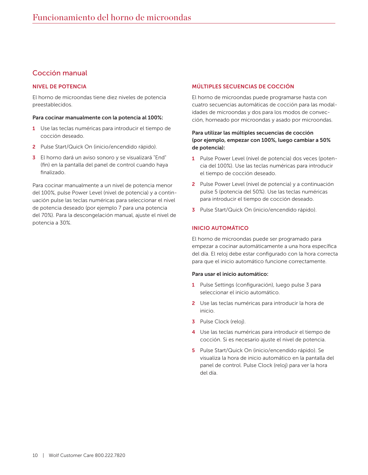# Cocción manual

#### NIVEL DE POTENCIA

El horno de microondas tiene diez niveles de potencia preestablecidos.

#### Para cocinar manualmente con la potencia al 100%:

- 1 Use las teclas numéricas para introducir el tiempo de cocción deseado.
- 2 Pulse Start/Quick On (inicio/encendido rápido).
- 3 El horno dará un aviso sonoro y se visualizará "End" (fin) en la pantalla del panel de control cuando haya finalizado.

Para cocinar manualmente a un nivel de potencia menor del 100%, pulse Power Level (nivel de potencia) y a continuación pulse las teclas numéricas para seleccionar el nivel de potencia deseado (por ejemplo 7 para una potencia del 70%). Para la descongelación manual, ajuste el nivel de potencia a 30%.

#### MÚLTIPLES SECUENCIAS DE COCCIÓN

El horno de microondas puede programarse hasta con cuatro secuencias automáticas de cocción para las modalidades de microondas y dos para los modos de convección, horneado por microondas y asado por microondas.

#### Para utilizar las múltiples secuencias de cocción (por ejemplo, empezar con 100%, luego cambiar a 50% de potencia):

- 1 Pulse Power Level (nivel de potencia) dos veces (potencia del 100%). Use las teclas numéricas para introducir el tiempo de cocción deseado.
- 2 Pulse Power Level (nivel de potencia) y a continuación pulse 5 (potencia del 50%). Use las teclas numéricas para introducir el tiempo de cocción deseado.
- 3 Pulse Start/Quick On (inicio/encendido rápido).

#### INICIO AUTOMÁTICO

El horno de microondas puede ser programado para empezar a cocinar automáticamente a una hora específica del día. El reloj debe estar configurado con la hora correcta para que el inicio automático funcione correctamente.

#### Para usar el inicio automático:

- 1 Pulse Settings (configuración), luego pulse 3 para seleccionar el inicio automático.
- 2 Use las teclas numéricas para introducir la hora de inicio.
- **3** Pulse Clock (reloj).
- 4 Use las teclas numéricas para introducir el tiempo de cocción. Si es necesario ajuste el nivel de potencia.
- 5 Pulse Start/Quick On (inicio/encendido rápido). Se visualiza la hora de inicio automático en la pantalla del panel de control. Pulse Clock (reloj) para ver la hora del día.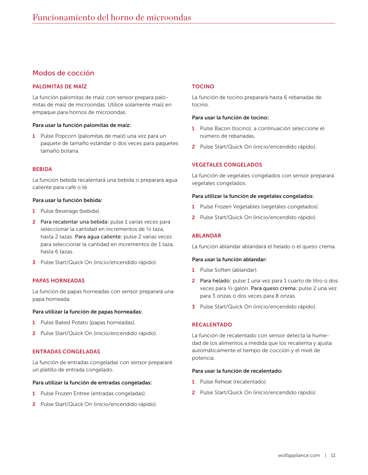# Modos de cocción

#### PALOMITAS DE MAÍZ

La función palomitas de maíz con sensor prepara palomitas de maíz de microondas. Utilice solamente maíz en empaque para hornos de microondas.

#### Para usar la función palomitas de maíz:

1 Pulse Popcorn (palomitas de maíz) una vez para un paquete de tamaño estándar o dos veces para paquetes tamaño botana.

#### BEBIDA

La función bebida recalentará una bebida o preparará agua caliente para café o té.

#### Para usar la función bebida:

- 1 Pulse Beverage (bebida).
- 2 Para recalentar una bebida: pulse 1 varias veces para seleccionar la cantidad en incrementos de 1/2 taza. hasta 2 tazas. Para agua caliente: pulse 2 varias veces para seleccionar la cantidad en incrementos de 1 taza, hasta 6 tazas.
- 3 Pulse Start/Quick On (inicio/encendido rápido).

#### PAPAS HORNEADAS

La función de papas horneadas con sensor preparará una papa horneada.

#### Para utilizar la función de papas horneadas:

- 1 Pulse Baked Potato (papas horneadas).
- 2 Pulse Start/Quick On (inicio/encendido rápido).

#### ENTRADAS CONGELADAS

La función de entradas congeladas con sensor preparará un platillo de entrada congelado.

#### Para utilizar la función de entradas congeladas:

- 1 Pulse Frozen Entree (entradas congeladas).
- 2 Pulse Start/Quick On (inicio/encendido rápido).

#### TOCINO

La función de tocino preparará hasta 6 rebanadas de tocino.

#### Para usar la función de tocino:

- 1 Pulse Bacon (tocino), a continuación seleccione el número de rebanadas.
- 2 Pulse Start/Quick On (inicio/encendido rápido).

#### VEGETALES CONGELADOS

La función de vegetales congelados con sensor preparará vegetales congelados.

#### Para utilizar la función de vegetales congelados:

- 1 Pulse Frozen Vegetables (vegetales congelados).
- 2 Pulse Start/Quick On (inicio/encendido rápido).

#### ABLANDAR

La función ablandar ablandará el helado o el queso crema.

#### Para usar la función ablandar:

- 1 Pulse Soften (ablandar).
- 2 Para helado: pulse 1 una vez para 1 cuarto de litro o dos veces para 1/2 galón. Para queso crema: pulse 2 una vez para 3 onzas o dos veces para 8 onzas.
- 3 Pulse Start/Quick On (inicio/encendido rápido).

#### RECALENTADO

La función de recalentado con sensor detecta la humedad de los alimentos a medida que los recalienta y ajusta automáticamente el tiempo de cocción y el nivel de potencia.

#### Para usar la función de recalentado:

- 1 Pulse Reheat (recalentado).
- 2 Pulse Start/Quick On (inicio/encendido rápido).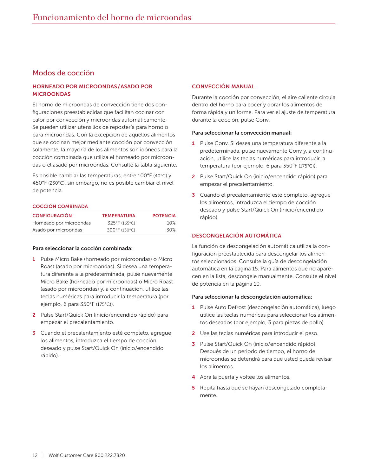# Modos de cocción

#### HORNEADO POR MICROONDAS/ASADO POR **MICROONDAS**

El horno de microondas de convección tiene dos configuraciones preestablecidas que facilitan cocinar con calor por convección y microondas automáticamente. Se pueden utilizar utensilios de repostería para horno o para microondas. Con la excepción de aquellos alimentos que se cocinan mejor mediante cocción por convección solamente, la mayoría de los alimentos son idóneos para la cocción combinada que utiliza el horneado por microondas o el asado por microondas. Consulte la tabla siguiente.

Es posible cambiar las temperaturas, entre 100°F (40°C) y 450°F (230°C), sin embargo, no es posible cambiar el nivel de potencia.

#### COCCIÓN COMBINADA

| <b>CONFIGURACIÓN</b>    | <b>TEMPERATURA</b>                 | <b>POTENCIA</b> |
|-------------------------|------------------------------------|-----------------|
| Horneado por microondas | 325°F (165°C)                      | 10%             |
| Asado por microondas    | $300^{\circ}$ F (150 $^{\circ}$ C) | 30%             |

#### Para seleccionar la cocción combinada:

- 1 Pulse Micro Bake (horneado por microondas) o Micro Roast (asado por microondas). Si desea una temperatura diferente a la predeterminada, pulse nuevamente Micro Bake (horneado por microondas) o Micro Roast (asado por microondas) y, a continuación, utilice las teclas numéricas para introducir la temperatura (por ejemplo, 6 para 350°F (175°C)).
- 2 Pulse Start/Quick On (inicio/encendido rápido) para empezar el precalentamiento.
- 3 Cuando el precalentamiento esté completo, agregue los alimentos, introduzca el tiempo de cocción deseado y pulse Start/Quick On (inicio/encendido rápido).

#### CONVECCIÓN MANUAL

Durante la cocción por convección, el aire caliente circula dentro del horno para cocer y dorar los alimentos de forma rápida y uniforme. Para ver el ajuste de temperatura durante la cocción, pulse Conv.

#### Para seleccionar la convección manual:

- 1 Pulse Conv. Si desea una temperatura diferente a la predeterminada, pulse nuevamente Conv y, a continuación, utilice las teclas numéricas para introducir la temperatura (por ejemplo, 6 para 350°F (175°C)).
- 2 Pulse Start/Quick On (inicio/encendido rápido) para empezar el precalentamiento.
- 3 Cuando el precalentamiento esté completo, agregue los alimentos, introduzca el tiempo de cocción deseado y pulse Start/Quick On (inicio/encendido rápido).

#### DESCONGELACIÓN AUTOMÁTICA

La función de descongelación automática utiliza la configuración preestablecida para descongelar los alimentos seleccionados. Consulte la guía de descongelación automática en la página 15. Para alimentos que no aparecen en la lista, descongele manualmente. Consulte el nivel de potencia en la página 10.

#### Para seleccionar la descongelación automática:

- 1 Pulse Auto Defrost (descongelación automática), luego utilice las teclas numéricas para seleccionar los alimentos deseados (por ejemplo, 3 para piezas de pollo).
- 2 Use las teclas numéricas para introducir el peso.
- 3 Pulse Start/Quick On (inicio/encendido rápido). Después de un periodo de tiempo, el horno de microondas se detendrá para que usted pueda revisar los alimentos.
- 4 Abra la puerta y voltee los alimentos.
- 5 Repita hasta que se hayan descongelado completamente.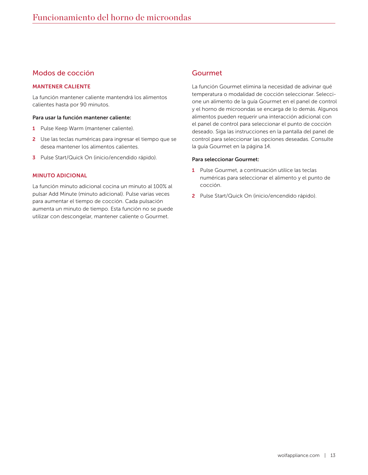# Modos de cocción

#### MANTENER CALIENTE

La función mantener caliente mantendrá los alimentos calientes hasta por 90 minutos.

#### Para usar la función mantener caliente:

- 1 Pulse Keep Warm (mantener caliente).
- 2 Use las teclas numéricas para ingresar el tiempo que se desea mantener los alimentos calientes.
- 3 Pulse Start/Quick On (inicio/encendido rápido).

#### MINUTO ADICIONAL

La función minuto adicional cocina un minuto al 100% al pulsar Add Minute (minuto adicional). Pulse varias veces para aumentar el tiempo de cocción. Cada pulsación aumenta un minuto de tiempo. Esta función no se puede utilizar con descongelar, mantener caliente o Gourmet.

# Gourmet

La función Gourmet elimina la necesidad de adivinar qué temperatura o modalidad de cocción seleccionar. Seleccione un alimento de la guía Gourmet en el panel de control y el horno de microondas se encarga de lo demás. Algunos alimentos pueden requerir una interacción adicional con el panel de control para seleccionar el punto de cocción deseado. Siga las instrucciones en la pantalla del panel de control para seleccionar las opciones deseadas. Consulte la guía Gourmet en la página 14.

#### Para seleccionar Gourmet:

- 1 Pulse Gourmet, a continuación utilice las teclas numéricas para seleccionar el alimento y el punto de cocción.
- 2 Pulse Start/Quick On (inicio/encendido rápido).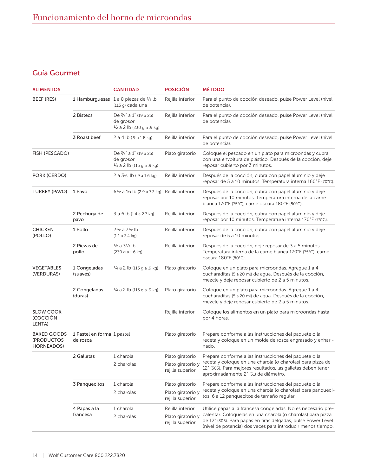# Guía Gourmet

| <b>ALIMENTOS</b>                                      |                                        | <b>CANTIDAD</b>                                                                        | <b>POSICIÓN</b>                       | <b>MÉTODO</b>                                                                                                                                                                               |
|-------------------------------------------------------|----------------------------------------|----------------------------------------------------------------------------------------|---------------------------------------|---------------------------------------------------------------------------------------------------------------------------------------------------------------------------------------------|
| BEEF (RES)                                            |                                        | 1 Hamburguesas 1 a 8 piezas de 1/4 lb<br>$(115q)$ cada una                             | Rejilla inferior                      | Para el punto de cocción deseado, pulse Power Level (nivel<br>de potencia).                                                                                                                 |
|                                                       | 2 Bistecs                              | De 3/4" a 1" (19 a 25)<br>de grosor<br>1/2 a 2 lb (230 g a .9 kg)                      | Rejilla inferior                      | Para el punto de cocción deseado, pulse Power Level (nivel<br>de potencia).                                                                                                                 |
|                                                       | 3 Roast beef                           | 2 a 4 lb (.9 a 1.8 kg)                                                                 | Rejilla inferior                      | Para el punto de cocción deseado, pulse Power Level (nivel<br>de potencia).                                                                                                                 |
| FISH (PESCADO)                                        |                                        | De $\frac{3}{4}$ " a 1" (19 a 25)<br>de grosor<br>$\frac{1}{4}$ a 2 lb (115 g a .9 kg) | Plato giratorio                       | Coloque el pescado en un plato para microondas y cubra<br>con una envoltura de plástico. Después de la cocción, deje<br>reposar cubierto por 3 minutos.                                     |
| PORK (CERDO)                                          |                                        | 2 a $3\frac{1}{2}$ lb (.9 a 1.6 kg)                                                    | Rejilla inferior                      | Después de la cocción, cubra con papel aluminio y deje<br>reposar de 5 a 10 minutos. Temperatura interna 160°F (70°C).                                                                      |
| <b>TURKEY (PAVO)</b>                                  | 1 Pavo                                 | $6\frac{1}{2}$ a 16 lb (2.9 a 7.3 kg) Rejilla inferior                                 |                                       | Después de la cocción, cubra con papel aluminio y deje<br>reposar por 10 minutos. Temperatura interna de la carne<br>blanca 170°F (75°C), carne oscura 180°F (80°C).                        |
|                                                       | 2 Pechuga de<br>pavo                   | 3 a 6 lb (1.4 a 2.7 kg)                                                                | Rejilla inferior                      | Después de la cocción, cubra con papel aluminio y deje<br>reposar por 10 minutos. Temperatura interna 170°F (75°C).                                                                         |
| <b>CHICKEN</b><br>(POLLO)                             | 1 Pollo                                | $2\frac{1}{2}$ a $7\frac{1}{2}$ lb<br>(1.1 a 3.4 kg)                                   | Rejilla inferior                      | Después de la cocción, cubra con papel aluminio y deje<br>reposar de 5 a 10 minutos.                                                                                                        |
|                                                       | 2 Piezas de<br>pollo                   | $\frac{1}{2}$ a $\frac{31}{2}$ lb<br>(230 g a 1.6 kg)                                  | Rejilla inferior                      | Después de la cocción, deje reposar de 3 a 5 minutos.<br>Temperatura interna de la carne blanca 170°F (75°C), carne<br>oscura 180°F (80°C).                                                 |
| <b>VEGETABLES</b><br>(VERDURAS)                       | 1 Congeladas<br>(suaves)               | $\frac{1}{4}$ a 2 lb (115 g a .9 kg)                                                   | Plato giratorio                       | Coloque en un plato para microondas. Agregue 1 a 4<br>cucharaditas (5 a 20 ml) de agua. Después de la cocción,<br>mezcle y deje reposar cubierto de 2 a 5 minutos.                          |
|                                                       | 2 Congeladas<br>(duras)                | $\frac{1}{4}$ a 2 lb (115 g a .9 kg)                                                   | Plato giratorio                       | Coloque en un plato para microondas. Agregue 1 a 4<br>cucharaditas (5 a 20 ml) de agua. Después de la cocción,<br>mezcle y deje reposar cubierto de 2 a 5 minutos.                          |
| <b>SLOW COOK</b><br><b>(COCCIÓN</b><br>LENTA)         |                                        |                                                                                        | Rejilla inferior                      | Coloque los alimentos en un plato para microondas hasta<br>por 4 horas.                                                                                                                     |
| <b>BAKED GOODS</b><br>(PRODUCTOS<br><b>HORNEADOS)</b> | 1 Pastel en forma 1 pastel<br>de rosca |                                                                                        | Plato giratorio                       | Prepare conforme a las instrucciones del paquete o la<br>receta y coloque en un molde de rosca engrasado y enhari-<br>nado.                                                                 |
|                                                       | 2 Galletas                             | 1 charola                                                                              | Plato giratorio                       | Prepare conforme a las instrucciones del paquete o la                                                                                                                                       |
|                                                       |                                        | 2 charolas                                                                             | Plato giratorio y<br>rejilla superior | receta y coloque en una charola (o charolas) para pizza de<br>12" (305). Para mejores resultados, las galletas deben tener<br>aproximadamente 2" (51) de diámetro.                          |
|                                                       | 3 Panquecitos                          | 1 charola                                                                              | Plato giratorio                       | Prepare conforme a las instrucciones del paquete o la                                                                                                                                       |
|                                                       |                                        | 2 charolas                                                                             | Plato giratorio y<br>rejilla superior | receta y coloque en una charola (o charolas) para panqueci-<br>tos. 6 a 12 panquecitos de tamaño regular.                                                                                   |
|                                                       | 4 Papas a la                           | 1 charola                                                                              | Rejilla inferior                      | Utilice papas a la francesa congeladas. No es necesario pre-                                                                                                                                |
|                                                       | francesa                               | 2 charolas                                                                             | Plato giratorio y<br>rejilla superior | calentar. Colóquelas en una charola (o charolas) para pizza<br>de 12" (305). Para papas en tiras delgadas, pulse Power Level<br>(nivel de potencia) dos veces para introducir menos tiempo. |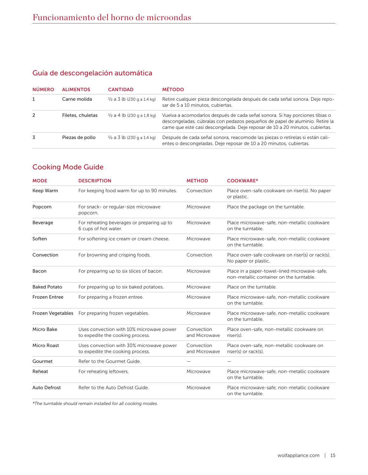# Guía de descongelación automática

| <b>NÚMERO</b> | <b>ALIMENTOS</b>  | <b>CANTIDAD</b>                       | <b>MÉTODO</b>                                                                                                                                                                                                                                 |
|---------------|-------------------|---------------------------------------|-----------------------------------------------------------------------------------------------------------------------------------------------------------------------------------------------------------------------------------------------|
|               | Carne molida      | $\frac{1}{2}$ a 3 lb (230 g a 1.4 kg) | Retire cualquier pieza descongelada después de cada señal sonora. Deje repo-<br>sar de 5 a 10 minutos, cubiertas.                                                                                                                             |
| 2             | Filetes, chuletas | $\frac{1}{2}$ a 4 lb (230 g a 1.8 kg) | Vuelva a acomodarlos después de cada señal sonora. Si hay porciones tibias o<br>descongeladas, cúbralas con pedazos pequeños de papel de aluminio. Retire la<br>carne que esté casi descongelada. Deje reposar de 10 a 20 minutos, cubiertas. |
| 3             | Piezas de pollo   | $\frac{1}{2}$ a 3 lb (230 g a 1.4 kg) | Después de cada señal sonora, reacomode las piezas o retírelas si están cali-<br>entes o descongeladas. Deje reposar de 10 a 20 minutos, cubiertas.                                                                                           |

# Cooking Mode Guide

| <b>MODE</b>          | <b>DESCRIPTION</b>                                                           | <b>METHOD</b>               | <b>COOKWARE*</b>                                                                         |
|----------------------|------------------------------------------------------------------------------|-----------------------------|------------------------------------------------------------------------------------------|
| Keep Warm            | For keeping food warm for up to 90 minutes.                                  | Convection                  | Place oven-safe cookware on riser(s). No paper<br>or plastic.                            |
| Popcorn              | For snack- or regular-size microwave<br>popcorn.                             | Microwave                   | Place the package on the turntable.                                                      |
| Beverage             | For reheating beverages or preparing up to<br>6 cups of hot water.           | Microwave                   | Place microwave-safe, non-metallic cookware<br>on the turntable.                         |
| Soften               | For softening ice cream or cream cheese.                                     | Microwave                   | Place microwave-safe, non-metallic cookware<br>on the turntable.                         |
| Convection           | For browning and crisping foods.                                             | Convection                  | Place oven-safe cookware on riser(s) or rack(s).<br>No paper or plastic.                 |
| Bacon                | For preparing up to six slices of bacon.                                     | Microwave                   | Place in a paper-towel-lined microwave-safe,<br>non-metallic container on the turntable. |
| <b>Baked Potato</b>  | For preparing up to six baked potatoes.                                      | Microwave                   | Place on the turntable.                                                                  |
| <b>Frozen Entree</b> | For preparing a frozen entree.                                               | Microwave                   | Place microwave-safe, non-metallic cookware<br>on the turntable.                         |
|                      | Frozen Vegetables For preparing frozen vegetables.                           | Microwave                   | Place microwave-safe, non-metallic cookware<br>on the turntable.                         |
| Micro Bake           | Uses convection with 10% microwave power<br>to expedite the cooking process. | Convection<br>and Microwave | Place oven-safe, non-metallic cookware on<br>riser(s).                                   |
| Micro Roast          | Uses convection with 30% microwave power<br>to expedite the cooking process. | Convection<br>and Microwave | Place oven-safe, non-metallic cookware on<br>riser(s) or rack(s).                        |
| Gourmet              | Refer to the Gourmet Guide.                                                  |                             |                                                                                          |
| Reheat               | For reheating leftovers.                                                     | Microwave                   | Place microwave-safe, non-metallic cookware<br>on the turntable.                         |
| <b>Auto Defrost</b>  | Refer to the Auto Defrost Guide.                                             | Microwave                   | Place microwave-safe, non-metallic cookware<br>on the turntable.                         |

*\*The turntable should remain installed for all cooking modes.*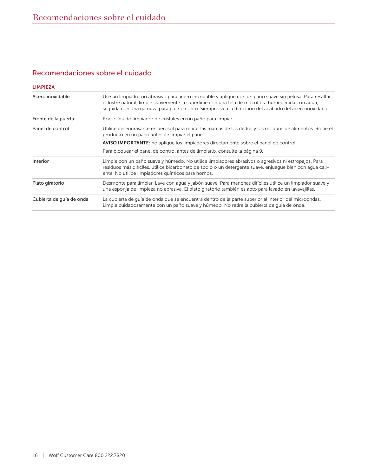# Recomendaciones sobre el cuidado

#### LIMPIEZA

| Acero inoxidable                                                                     | Use un limpiador no abrasivo para acero inoxidable y aplique con un paño suave sin pelusa. Para resaltar<br>el lustre natural, limpie suavemente la superficie con una tela de microfibra humedecida con agua,<br>seguida con una gamuza para pulir en seco. Siempre siga la dirección del acabado del acero inoxidable. |  |
|--------------------------------------------------------------------------------------|--------------------------------------------------------------------------------------------------------------------------------------------------------------------------------------------------------------------------------------------------------------------------------------------------------------------------|--|
| Rocíe líquido limpiador de cristales en un paño para limpiar.<br>Frente de la puerta |                                                                                                                                                                                                                                                                                                                          |  |
| Panel de control                                                                     | Utilice desengrasante en aerosol para retirar las marcas de los dedos y los residuos de alimentos. Rocíe el<br>producto en un paño antes de limpiar el panel.                                                                                                                                                            |  |
|                                                                                      | AVISO IMPORTANTE: no aplique los limpiadores directamente sobre el panel de control.                                                                                                                                                                                                                                     |  |
|                                                                                      | Para bloquear el panel de control antes de limpiarlo, consulte la página 9.                                                                                                                                                                                                                                              |  |
| Interior                                                                             | Limpie con un paño suave y húmedo. No utilice limpiadores abrasivos o agresivos ni estropajos. Para<br>residuos más difíciles, utilice bicarbonato de sodio o un detergente suave, enjuague bien con agua cali-<br>ente. No utilice limpiadores químicos para hornos.                                                    |  |
| Plato giratorio                                                                      | Desmonte para limpiar. Lave con agua y jabón suave. Para manchas difíciles utilice un limpiador suave y<br>una esponja de limpieza no abrasiva. El plato giratorio también es apto para lavado en lavavajillas.                                                                                                          |  |
| Cubierta de quía de onda                                                             | La cubierta de quía de onda que se encuentra dentro de la parte superior al interior del microondas.<br>Limpie cuidadosamente con un paño suave y húmedo. No retire la cubierta de quía de onda.                                                                                                                         |  |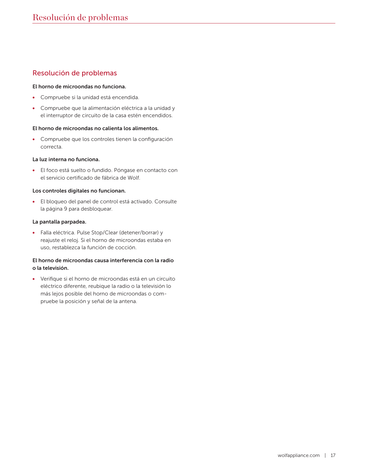# Resolución de problemas

#### El horno de microondas no funciona.

- Compruebe si la unidad está encendida.
- Compruebe que la alimentación eléctrica a la unidad y el interruptor de circuito de la casa estén encendidos.

#### El horno de microondas no calienta los alimentos.

• Compruebe que los controles tienen la configuración correcta.

#### La luz interna no funciona.

• El foco está suelto o fundido. Póngase en contacto con el servicio certificado de fábrica de Wolf.

#### Los controles digitales no funcionan.

• El bloqueo del panel de control está activado. Consulte la página 9 para desbloquear.

#### La pantalla parpadea.

• Falla eléctrica. Pulse Stop/Clear (detener/borrar) y reajuste el reloj. Si el horno de microondas estaba en uso, restablezca la función de cocción.

#### El horno de microondas causa interferencia con la radio o la televisión.

• Verifique si el horno de microondas está en un circuito eléctrico diferente, reubique la radio o la televisión lo más lejos posible del horno de microondas o compruebe la posición y señal de la antena.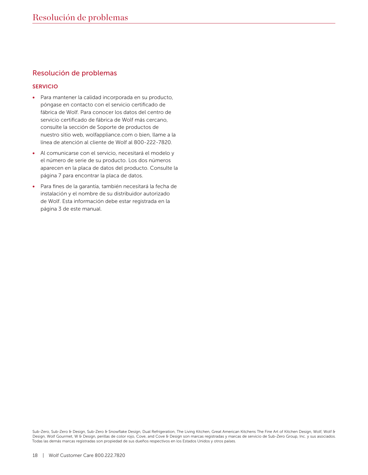# Resolución de problemas

#### SERVICIO

- Para mantener la calidad incorporada en su producto, póngase en contacto con el servicio certificado de fábrica de Wolf. Para conocer los datos del centro de servicio certificado de fábrica de Wolf más cercano, consulte la sección de Soporte de productos de nuestro sitio web, wolfappliance.com o bien, llame a la línea de atención al cliente de Wolf al 800-222-7820.
- Al comunicarse con el servicio, necesitará el modelo y el número de serie de su producto. Los dos números aparecen en la placa de datos del producto. Consulte la página 7 para encontrar la placa de datos.
- Para fines de la garantía, también necesitará la fecha de instalación y el nombre de su distribuidor autorizado de Wolf. Esta información debe estar registrada en la página 3 de este manual.

Sub-Zero, Sub-Zero & Design, Sub-Zero & Snowflake Design, Dual Refrigeration, The Living Kitchen, Great American Kitchens The Fine Art of Kitchen Design, Wolf, Wolf & Design, Wolf Gourmet, W & Design, perillas de color rojo, Cove, and Cove & Design son marcas registradas y marcas de servicio de Sub-Zero Group, Inc. y sus asociados. Todas las demás marcas registradas son propiedad de sus dueños respectivos en los Estados Unidos y otros países.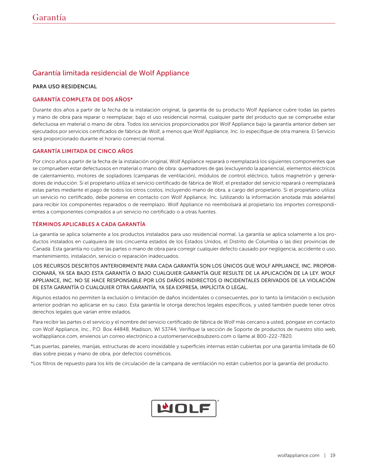# Garantía limitada residencial de Wolf Appliance

#### PARA USO RESIDENCIAL

#### GARANTÍA COMPLETA DE DOS AÑOS\*

Durante dos años a partir de la fecha de la instalación original, la garantía de su producto Wolf Appliance cubre todas las partes y mano de obra para reparar o reemplazar, bajo el uso residencial normal, cualquier parte del producto que se compruebe estar defectuosa en material o mano de obra. Todos los servicios proporcionados por Wolf Appliance bajo la garantía anterior deben ser ejecutados por servicios certificados de fábrica de Wolf, a menos que Wolf Appliance, Inc. lo especifique de otra manera. El Servicio será proporcionado durante el horario comercial normal.

#### GARANTÍA LIMITADA DE CINCO AÑOS

Por cinco años a partir de la fecha de la instalación original, Wolf Appliance reparará o reemplazará los siguientes componentes que se comprueben estar defectuosos en material o mano de obra: quemadores de gas (excluyendo la apariencia), elementos eléctricos de calentamiento, motores de sopladores (campanas de ventilación), módulos de control eléctrico, tubos magnetrón y generadores de inducción. Si el propietario utiliza el servicio certificado de fábrica de Wolf, el prestador del servicio reparará o reemplazará estas partes mediante el pago de todos los otros costos, incluyendo mano de obra, a cargo del propietario. Si el propietario utiliza un servicio no certificado, debe ponerse en contacto con Wolf Appliance, Inc. (utilizando la información anotada más adelante) para recibir los componentes reparados o de reemplazo. Wolf Appliance no reembolsará al propietario los importes correspondientes a componentes comprados a un servicio no certificado o a otras fuentes.

#### TÉRMINOS APLICABLES A CADA GARANTÍA

La garantía se aplica solamente a los productos instalados para uso residencial normal. La garantía se aplica solamente a los productos instalados en cualquiera de los cincuenta estados de los Estados Unidos, el Distrito de Columbia o las diez provincias de Canadá. Esta garantía no cubre las partes o mano de obra para corregir cualquier defecto causado por negligencia, accidente o uso, mantenimiento, instalación, servicio o reparación inadecuados.

LOS RECURSOS DESCRITOS ANTERIORMENTE PARA CADA GARANTÍA SON LOS ÚNICOS QUE WOLF APPLIANCE, INC. PROPOR-CIONARÁ, YA SEA BAJO ESTA GARANTÍA O BAJO CUALQUIER GARANTÍA QUE RESULTE DE LA APLICACIÓN DE LA LEY. WOLF APPLIANCE, INC. NO SE HACE RESPONSABLE POR LOS DAÑOS INDIRECTOS O INCIDENTALES DERIVADOS DE LA VIOLACIÓN DE ESTA GARANTÍA O CUALQUIER OTRA GARANTÍA, YA SEA EXPRESA, IMPLÍCITA O LEGAL.

Algunos estados no permiten la exclusión o limitación de daños incidentales o consecuentes, por lo tanto la limitación o exclusión anterior podrían no aplicarse en su caso. Esta garantía le otorga derechos legales específicos, y usted también puede tener otros derechos legales que varían entre estados.

Para recibir las partes o el servicio y el nombre del servicio certificado de fábrica de Wolf más cercano a usted, póngase en contacto con Wolf Appliance, Inc., P.O. Box 44848, Madison, WI 53744; Verifique la sección de Soporte de productos de nuestro sitio web, wolfappliance.com, envíenos un correo electrónico a customerservice@subzero.com o llame al 800-222-7820.

\*Las puertas, paneles, manijas, estructuras de acero inoxidable y superficies internas están cubiertas por una garantía limitada de 60 días sobre piezas y mano de obra, por defectos cosméticos.

\*Los filtros de repuesto para los kits de circulación de la campana de ventilación no están cubiertos por la garantía del producto.

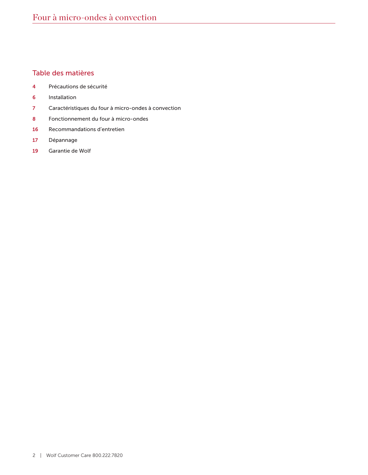# Table des matières

- Précautions de sécurité
- Installation
- Caractéristiques du four à micro-ondes à convection
- Fonctionnement du four à micro-ondes
- Recommandations d'entretien
- Dépannage
- Garantie de Wolf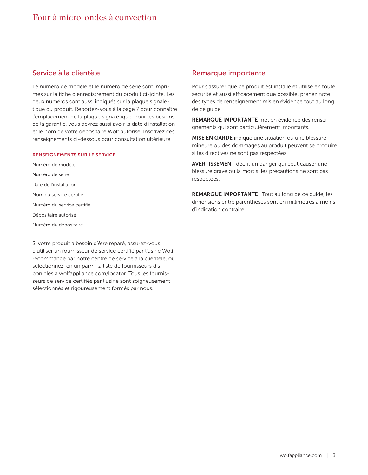# Service à la clientèle

Le numéro de modèle et le numéro de série sont imprimés sur la fiche d'enregistrement du produit ci-jointe. Les deux numéros sont aussi indiqués sur la plaque signalétique du produit. Reportez-vous à la page 7 pour connaître l'emplacement de la plaque signalétique. Pour les besoins de la garantie, vous devrez aussi avoir la date d'installation et le nom de votre dépositaire Wolf autorisé. Inscrivez ces renseignements ci-dessous pour consultation ultérieure.

#### RENSEIGNEMENTS SUR LE SERVICE

| Numéro de modèle           |
|----------------------------|
| Numéro de série            |
| Date de l'installation     |
| Nom du service certifié    |
| Numéro du service certifié |
| Dépositaire autorisé       |
| Numéro du dépositaire      |

Si votre produit a besoin d'être réparé, assurez-vous d'utiliser un fournisseur de service certifié par l'usine Wolf recommandé par notre centre de service à la clientèle, ou sélectionnez-en un parmi la liste de fournisseurs disponibles à wolfappliance.com/locator. Tous les fournisseurs de service certifiés par l'usine sont soigneusement sélectionnés et rigoureusement formés par nous.

# Remarque importante

Pour s'assurer que ce produit est installé et utilisé en toute sécurité et aussi efficacement que possible, prenez note des types de renseignement mis en évidence tout au long de ce guide :

REMARQUE IMPORTANTE met en évidence des renseignements qui sont particulièrement importants.

MISE EN GARDE indique une situation où une blessure mineure ou des dommages au produit peuvent se produire si les directives ne sont pas respectées.

AVERTISSEMENT décrit un danger qui peut causer une blessure grave ou la mort si les précautions ne sont pas respectées.

REMARQUE IMPORTANTE : Tout au long de ce guide, les dimensions entre parenthèses sont en millimètres à moins d'indication contraire.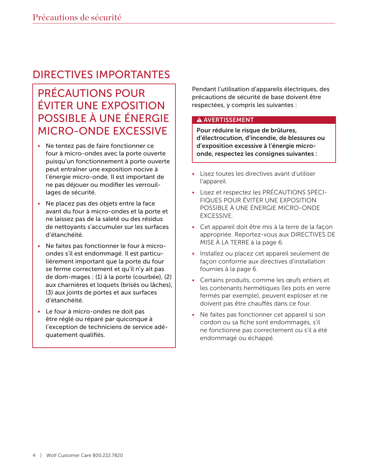# DIRECTIVES IMPORTANTES

# PRÉCAUTIONS POUR ÉVITER UNE EXPOSITION POSSIBLE À UNE ÉNERGIE MICRO-ONDE EXCESSIVE

- Ne tentez pas de faire fonctionner ce four à micro-ondes avec la porte ouverte puisqu'un fonctionnement à porte ouverte peut entraîner une exposition nocive à l'énergie micro-onde. Il est important de ne pas déjouer ou modifier les verrouillages de sécurité.
- Ne placez pas des objets entre la face avant du four à micro-ondes et la porte et ne laissez pas de la saleté ou des résidus de nettoyants s'accumuler sur les surfaces d'étanchéité.
- Ne faites pas fonctionner le four à microondes s'il est endommagé. Il est particulièrement important que la porte du four se ferme correctement et qu'il n'y ait pas de dom-mages : (1) à la porte (courbée), (2) aux charnières et loquets (brisés ou lâches), (3) aux joints de portes et aux surfaces d'étanchéité.
- Le four à micro-ondes ne doit pas être réglé ou réparé par quiconque à l'exception de techniciens de service adéquatement qualifiés.

Pendant l'utilisation d'appareils électriques, des précautions de sécurité de base doivent être respectées, y compris les suivantes :

## A AVERTISSEMENT

Pour réduire le risque de brûlures, d'électrocution, d'incendie, de blessures ou d'exposition excessive à l'énergie microonde, respectez les consignes suivantes :

- Lisez toutes les directives avant d'utiliser l'appareil.
- Lisez et respectez les PRÉCAUTIONS SPÉCI-FIQUES POUR ÉVITER UNE EXPOSITION POSSIBLE À UNE ÉNERGIE MICRO-ONDE EXCESSIVE.
- Cet appareil doit être mis à la terre de la façon appropriée. Reportez-vous aux DIRECTIVES DE MISE À LA TERRE à la page 6.
- Installez ou placez cet appareil seulement de façon conforme aux directives d'installation fournies à la page 6.
- Certains produits, comme les œufs entiers et les contenants hermétiques (les pots en verre fermés par exemple), peuvent exploser et ne doivent pas être chauffés dans ce four.
- Ne faites pas fonctionner cet appareil si son cordon ou sa fiche sont endommagés, s'il ne fonctionne pas correctement ou s'il a été endommagé ou échappé.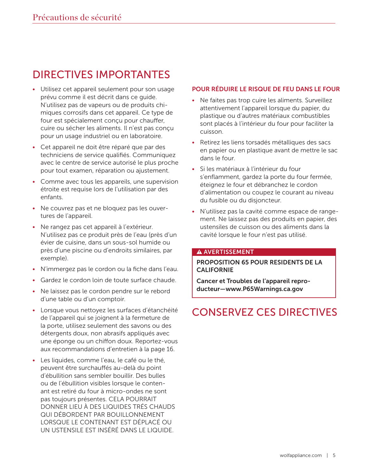# DIRECTIVES IMPORTANTES

- Utilisez cet appareil seulement pour son usage prévu comme il est décrit dans ce guide. N'utilisez pas de vapeurs ou de produits chimiques corrosifs dans cet appareil. Ce type de four est spécialement conçu pour chauffer, cuire ou sécher les aliments. Il n'est pas conçu pour un usage industriel ou en laboratoire.
- Cet appareil ne doit être réparé que par des techniciens de service qualifiés. Communiquez avec le centre de service autorisé le plus proche pour tout examen, réparation ou ajustement.
- Comme avec tous les appareils, une supervision étroite est requise lors de l'utilisation par des enfants.
- Ne couvrez pas et ne bloquez pas les ouvertures de l'appareil.
- Ne rangez pas cet appareil à l'extérieur. N'utilisez pas ce produit près de l'eau (près d'un évier de cuisine, dans un sous-sol humide ou près d'une piscine ou d'endroits similaires, par exemple).
- N'immergez pas le cordon ou la fiche dans l'eau.
- Gardez le cordon loin de toute surface chaude.
- Ne laissez pas le cordon pendre sur le rebord d'une table ou d'un comptoir.
- Lorsque vous nettoyez les surfaces d'étanchéité de l'appareil qui se joignent à la fermeture de la porte, utilisez seulement des savons ou des détergents doux, non abrasifs appliqués avec une éponge ou un chiffon doux. Reportez-vous aux recommandations d'entretien à la page 16.
- Les liquides, comme l'eau, le café ou le thé, peuvent être surchauffés au-delà du point d'ébullition sans sembler bouillir. Des bulles ou de l'ébullition visibles lorsque le contenant est retiré du four à micro-ondes ne sont pas toujours présentes. CELA POURRAIT DONNER LIEU À DES LIQUIDES TRÉS CHAUDS QUI DÉBORDENT PAR BOUILLONNEMENT LORSQUE LE CONTENANT EST DÉPLACÉ OU UN USTENSILE EST INSÉRÉ DANS LE LIQUIDE.

# POUR RÉDUIRE LE RISQUE DE FEU DANS LE FOUR

- Ne faites pas trop cuire les aliments. Surveillez attentivement l'appareil lorsque du papier, du plastique ou d'autres matériaux combustibles sont placés à l'intérieur du four pour faciliter la cuisson.
- Retirez les liens torsadés métalliques des sacs en papier ou en plastique avant de mettre le sac dans le four.
- Si les matériaux à l'intérieur du four s'enflamment, gardez la porte du four fermée, éteignez le four et débranchez le cordon d'alimentation ou coupez le courant au niveau du fusible ou du disjoncteur.
- N'utilisez pas la cavité comme espace de rangement. Ne laissez pas des produits en papier, des ustensiles de cuisson ou des aliments dans la cavité lorsque le four n'est pas utilisé.

#### A AVERTISSEMENT

## PROPOSITION 65 POUR RESIDENTS DE LA **CALIFORNIE**

Cancer et Troubles de l'appareil reproducteur—www.P65Warnings.ca.gov

# CONSERVEZ CES DIRECTIVES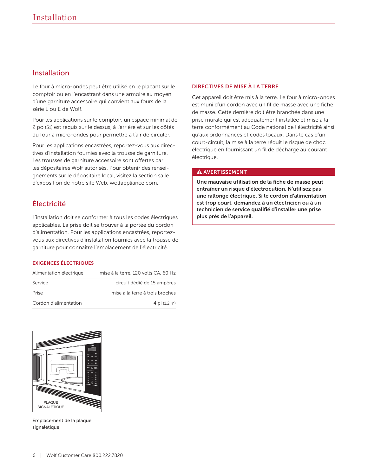# Installation

Le four à micro-ondes peut être utilisé en le plaçant sur le comptoir ou en l'encastrant dans une armoire au moyen d'une garniture accessoire qui convient aux fours de la série L ou E de Wolf.

Pour les applications sur le comptoir, un espace minimal de 2 po (51) est requis sur le dessus, à l'arrière et sur les côtés du four à micro-ondes pour permettre à l'air de circuler.

Pour les applications encastrées, reportez-vous aux directives d'installation fournies avec la trousse de garniture. Les trousses de garniture accessoire sont offertes par les dépositaires Wolf autorisés. Pour obtenir des renseignements sur le dépositaire local, visitez la section salle d'exposition de notre site Web, wolfappliance.com.

# Électricité

L'installation doit se conformer à tous les codes électriques applicables. La prise doit se trouver à la portée du cordon d'alimentation. Pour les applications encastrées, reportezvous aux directives d'installation fournies avec la trousse de garniture pour connaître l'emplacement de l'électricité.

#### EXIGENCES ÉLECTRIQUES

| Alimentation électrique | mise à la terre, 120 volts CA, 60 Hz |
|-------------------------|--------------------------------------|
| Service                 | circuit dédié de 15 ampères          |
| Prise                   | mise à la terre à trois broches      |
| Cordon d'alimentation   | 4 pi $(1,2, m)$                      |

# PLAQUE SIGNALÉTIQUE

Emplacement de la plaque signalétique

## DIRECTIVES DE MISE À LA TERRE

Cet appareil doit être mis à la terre. Le four à micro-ondes est muni d'un cordon avec un fil de masse avec une fiche de masse. Cette dernière doit être branchée dans une prise murale qui est adéquatement installée et mise à la terre conformément au Code national de l'électricité ainsi qu'aux ordonnances et codes locaux. Dans le cas d'un court-circuit, la mise à la terre réduit le risque de choc électrique en fournissant un fil de décharge au courant électrique.

#### **A AVERTISSEMENT**

Une mauvaise utilisation de la fiche de masse peut entraîner un risque d'électrocution. N'utilisez pas une rallonge électrique. Si le cordon d'alimentation est trop court, demandez à un électricien ou à un technicien de service qualifié d'installer une prise plus près de l'appareil.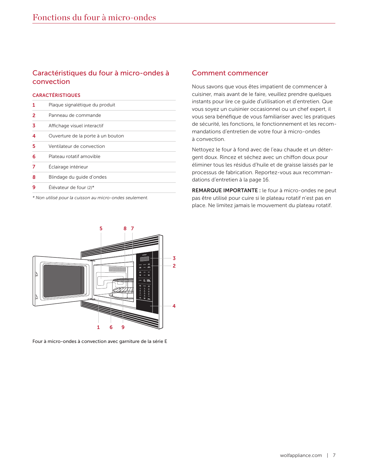# Caractéristiques du four à micro-ondes à convection

#### **CARACTÉRISTIQUES**

| 1 | Plaque signalétique du produit    |
|---|-----------------------------------|
| 2 | Panneau de commande               |
| 3 | Affichage visuel interactif       |
| 4 | Ouverture de la porte à un bouton |
| 5 | Ventilateur de convection         |
| 6 | Plateau rotatif amovible          |
|   | Éclairage intérieur               |
| 8 | Blindage du guide d'ondes         |
| ą | Élévateur de four (2)*            |
|   |                                   |

*\* Non utilisé pour la cuisson au micro-ondes seulement.*

# Comment commencer

Nous savons que vous êtes impatient de commencer à cuisiner, mais avant de le faire, veuillez prendre quelques instants pour lire ce guide d'utilisation et d'entretien. Que vous soyez un cuisinier occasionnel ou un chef expert, il vous sera bénéfique de vous familiariser avec les pratiques de sécurité, les fonctions, le fonctionnement et les recommandations d'entretien de votre four à micro-ondes à convection.

Nettoyez le four à fond avec de l'eau chaude et un détergent doux. Rincez et séchez avec un chiffon doux pour éliminer tous les résidus d'huile et de graisse laissés par le processus de fabrication. Reportez-vous aux recommandations d'entretien à la page 16.

REMARQUE IMPORTANTE : le four à micro-ondes ne peut pas être utilisé pour cuire si le plateau rotatif n'est pas en place. Ne limitez jamais le mouvement du plateau rotatif.



Four à micro-ondes à convection avec garniture de la série E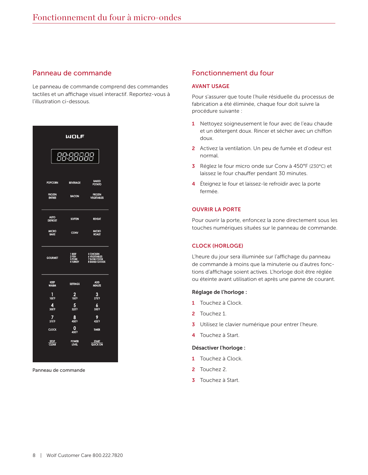# Panneau de commande

Le panneau de commande comprend des commandes tactiles et un affichage visuel interactif. Reportez-vous à l'illustration ci-dessous.

| <b>WOLF</b>                    |                                       |                                                           |  |  |
|--------------------------------|---------------------------------------|-----------------------------------------------------------|--|--|
|                                | 88:88888                              |                                                           |  |  |
|                                |                                       |                                                           |  |  |
| <b>POPCORN</b>                 | <b>BEVERAGE</b>                       | <b>BAKED</b><br><b>POTATO</b>                             |  |  |
| <b>FROZEN</b><br><b>ENTREE</b> | <b>BACON</b>                          | <b>FROZEN</b><br><b>VEGETABLES</b>                        |  |  |
| <b>AUTO</b><br><b>DEFROST</b>  | <b>SOFTEN</b>                         | <b>REHEAT</b>                                             |  |  |
| <b>MICRO</b><br><b>BAKE</b>    | <b>CONV</b>                           | <b>MICRO</b><br><b>ROAST</b>                              |  |  |
| <b>GOURMET</b>                 | 1 BEEF<br>2 HSH<br>3 PORK<br>4 TURKEY | 5 CHICKEN<br>6 VEGETABLES<br>7 SLOW COOK<br>8 BAKED GOODS |  |  |
| <b>KEEP</b><br><b>WARM</b>     | <b>SETTINGS</b>                       | <b>ADD</b><br><b>MINUTE</b>                               |  |  |
| 1<br>100°F                     | $\frac{2}{150^7}$                     | 3<br>$275$ F                                              |  |  |
| 4<br>300 <sup>'</sup> F        | 5<br>325 <sup>'</sup> F               | $\boldsymbol{6}$<br>350F                                  |  |  |
| 7<br>375F                      | 8<br>400 <sup>'</sup> F               | 9<br>425F                                                 |  |  |
| <b>CLOCK</b>                   | 0<br>450F                             | <b>TIMER</b>                                              |  |  |
| <b>STOP</b><br><b>CLEAR</b>    | <b>POWER</b><br><b>LEVEL</b>          | <b>START</b><br><b>QUICK ON</b>                           |  |  |
|                                |                                       |                                                           |  |  |

Panneau de commande

## Fonctionnement du four

#### AVANT USAGE

Pour s'assurer que toute l'huile résiduelle du processus de fabrication a été éliminée, chaque four doit suivre la procédure suivante :

- 1 Nettoyez soigneusement le four avec de l'eau chaude et un détergent doux. Rincer et sécher avec un chiffon doux.
- 2 Activez la ventilation. Un peu de fumée et d'odeur est normal.
- 3 Réglez le four micro onde sur Conv à 450°F (230°C) et laissez le four chauffer pendant 30 minutes.
- 4 Éteignez le four et laissez-le refroidir avec la porte fermée.

#### OUVRIR LA PORTE

Pour ouvrir la porte, enfoncez la zone directement sous les touches numériques situées sur le panneau de commande.

#### CLOCK (HORLOGE)

L'heure du jour sera illuminée sur l'affichage du panneau de commande à moins que la minuterie ou d'autres fonctions d'affichage soient actives. L'horloge doit être réglée ou éteinte avant utilisation et après une panne de courant.

#### Réglage de l'horloge :

- 1 Touchez à Clock.
- 2 Touchez 1.
- 3 Utilisez le clavier numérique pour entrer l'heure.
- 4 Touchez à Start.

#### Désactiver l'horloge :

- 1 Touchez à Clock.
- 2 Touchez 2.
- **3** Touchez à Start.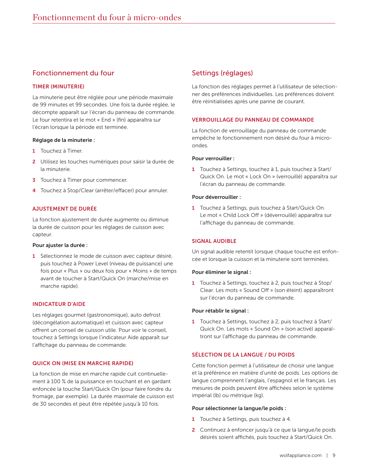# Fonctionnement du four

#### TIMER (MINUTERIE)

La minuterie peut être réglée pour une période maximale de 99 minutes et 99 secondes. Une fois la durée réglée, le décompte apparaît sur l'écran du panneau de commande. Le four retentira et le mot « End » (fin) apparaîtra sur l'écran lorsque la période est terminée.

#### Réglage de la minuterie :

- 1 Touchez à Timer.
- 2 Utilisez les touches numériques pour saisir la durée de la minuterie.
- **3** Touchez à Timer pour commencer.
- 4 Touchez à Stop/Clear (arrêter/effacer) pour annuler.

#### AJUSTEMENT DE DURÉE

La fonction ajustement de durée augmente ou diminue la durée de cuisson pour les réglages de cuisson avec capteur.

#### Pour ajuster la durée :

1 Sélectionnez le mode de cuisson avec capteur désiré, puis touchez à Power Level (niveau de puissance) une fois pour « Plus » ou deux fois pour « Moins » de temps avant de toucher à Start/Quick On (marche/mise en marche rapide).

#### INDICATEUR D'AIDE

Les réglages gourmet (gastronomique), auto defrost (décongélation automatique) et cuisson avec capteur offrent un conseil de cuisson utile. Pour voir le conseil, touchez à Settings lorsque l'indicateur Aide apparaît sur l'affichage du panneau de commande.

#### QUICK ON (MISE EN MARCHE RAPIDE)

La fonction de mise en marche rapide cuit continuellement à 100 % de la puissance en touchant et en gardant enfoncée la touche Start/Quick On (pour faire fondre du fromage, par exemple). La durée maximale de cuisson est de 30 secondes et peut être répétée jusqu'à 10 fois.

# Settings (réglages)

La fonction des réglages permet à l'utilisateur de sélectionner des préférences individuelles. Les préférences doivent être réinitialisées après une panne de courant.

#### VERROUILLAGE DU PANNEAU DE COMMANDE

La fonction de verrouillage du panneau de commande empêche le fonctionnement non désiré du four à microondes.

#### Pour verrouiller :

1 Touchez à Settings, touchez à 1, puis touchez à Start/ Quick On. Le mot « Lock On » (verrouillé) apparaîtra sur l'écran du panneau de commande.

#### Pour déverrouiller :

1 Touchez à Settings, puis touchez à Start/Quick On. Le mot « Child Lock Off » (déverrouillé) apparaîtra sur l'affichage du panneau de commande.

#### SIGNAL AUDIBLE

Un signal audible retentit lorsque chaque touche est enfoncée et lorsque la cuisson et la minuterie sont terminées.

#### Pour éliminer le signal :

1 Touchez à Settings, touchez à 2, puis touchez à Stop/ Clear. Les mots « Sound Off » (son éteint) apparaîtront sur l'écran du panneau de commande.

#### Pour rétablir le signal :

1 Touchez à Settings, touchez à 2, puis touchez à Start/ Quick On. Les mots « Sound On » (son activé) apparaîtront sur l'affichage du panneau de commande.

#### SÉLECTION DE LA LANGUE / DU POIDS

Cette fonction permet à l'utilisateur de choisir une langue et la préférence en matière d'unité de poids. Les options de langue comprennent l'anglais, l'espagnol et le français. Les mesures de poids peuvent être affichées selon le système impérial (lb) ou métrique (kg).

#### Pour sélectionner la langue/le poids :

- 1 Touchez à Settings, puis touchez à 4.
- 2 Continuez à enfoncer jusqu'à ce que la langue/le poids désirés soient affichés, puis touchez à Start/Quick On.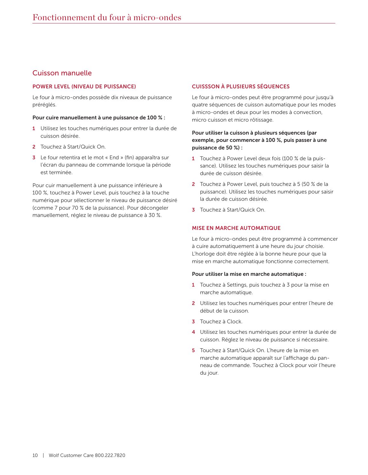# Cuisson manuelle

#### POWER LEVEL (NIVEAU DE PUISSANCE)

Le four à micro-ondes possède dix niveaux de puissance préréglés.

#### Pour cuire manuellement à une puissance de 100 % :

- 1 Utilisez les touches numériques pour entrer la durée de cuisson désirée.
- 2 Touchez à Start/Quick On.
- 3 Le four retentira et le mot « End » (fin) apparaîtra sur l'écran du panneau de commande lorsque la période est terminée.

Pour cuir manuellement à une puissance inférieure à 100 %, touchez à Power Level, puis touchez à la touche numérique pour sélectionner le niveau de puissance désiré (comme 7 pour 70 % de la puissance). Pour décongeler manuellement, réglez le niveau de puissance à 30 %.

#### CUISSSON À PLUSIEURS SÉQUENCES

Le four à micro-ondes peut être programmé pour jusqu'à quatre séquences de cuisson automatique pour les modes à micro-ondes et deux pour les modes à convection, micro cuisson et micro rôtissage.

#### Pour utiliser la cuisson à plusieurs séquences (par exemple, pour commencer à 100 %, puis passer à une puissance de 50 %) :

- 1 Touchez à Power Level deux fois (100 % de la puissance). Utilisez les touches numériques pour saisir la durée de cuisson désirée.
- 2 Touchez à Power Level, puis touchez à 5 (50 % de la puissance). Utilisez les touches numériques pour saisir la durée de cuisson désirée.
- 3 Touchez à Start/Quick On.

#### MISE EN MARCHE AUTOMATIQUE

Le four à micro-ondes peut être programmé à commencer à cuire automatiquement à une heure du jour choisie. L'horloge doit être réglée à la bonne heure pour que la mise en marche automatique fonctionne correctement.

#### Pour utiliser la mise en marche automatique :

- 1 Touchez à Settings, puis touchez à 3 pour la mise en marche automatique.
- 2 Utilisez les touches numériques pour entrer l'heure de début de la cuisson.
- 3 Touchez à Clock.
- 4 Utilisez les touches numériques pour entrer la durée de cuisson. Réglez le niveau de puissance si nécessaire.
- 5 Touchez à Start/Quick On. L'heure de la mise en marche automatique apparaît sur l'affichage du panneau de commande. Touchez à Clock pour voir l'heure du jour.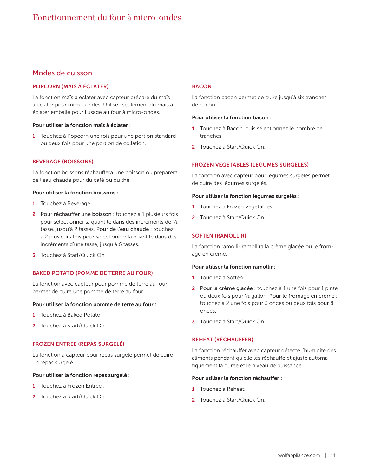# Modes de cuisson

#### POPCORN (MAÏS À ÉCLATER)

La fonction maïs à éclater avec capteur prépare du maïs à éclater pour micro-ondes. Utilisez seulement du maïs à éclater emballé pour l'usage au four à micro-ondes.

#### Pour utiliser la fonction maïs à éclater :

1 Touchez à Popcorn une fois pour une portion standard ou deux fois pour une portion de collation.

#### BEVERAGE (BOISSONS)

La fonction boissons réchauffera une boisson ou préparera de l'eau chaude pour du café ou du thé.

#### Pour utiliser la fonction boissons :

- 1 Touchez à Beverage.
- 2 Pour réchauffer une boisson : touchez à 1 plusieurs fois pour sélectionner la quantité dans des incréments de 1/2 tasse, jusqu'à 2 tasses. Pour de l'eau chaude : touchez à 2 plusieurs fois pour sélectionner la quantité dans des incréments d'une tasse, jusqu'à 6 tasses.
- 3 Touchez à Start/Quick On.

#### BAKED POTATO (POMME DE TERRE AU FOUR)

La fonction avec capteur pour pomme de terre au four permet de cuire une pomme de terre au four.

#### Pour utiliser la fonction pomme de terre au four :

- 1 Touchez à Baked Potato.
- 2 Touchez à Start/Quick On.

#### FROZEN ENTREE (REPAS SURGELÉ)

La fonction à capteur pour repas surgelé permet de cuire un repas surgelé.

#### Pour utiliser la fonction repas surgelé :

- 1 Touchez à Frozen Entree .
- 2 Touchez à Start/Quick On.

#### **BACON**

La fonction bacon permet de cuire jusqu'à six tranches de bacon.

#### Pour utiliser la fonction bacon :

- 1 Touchez à Bacon, puis sélectionnez le nombre de tranches.
- 2 Touchez à Start/Quick On.

#### FROZEN VEGETABLES (LÉGUMES SURGELÉS)

La fonction avec capteur pour légumes surgelés permet de cuire des légumes surgelés.

#### Pour utiliser la fonction légumes surgelés :

- 1 Touchez à Frozen Vegetables.
- 2 Touchez à Start/Quick On.

#### SOFTEN (RAMOLLIR)

La fonction ramollir ramollira la crème glacée ou le fromage en crème.

#### Pour utiliser la fonction ramollir :

- 1 Touchez à Soften.
- 2 Pour la crème glacée : touchez à 1 une fois pour 1 pinte ou deux fois pour 1/2 gallon. Pour le fromage en crème : touchez à 2 une fois pour 3 onces ou deux fois pour 8 onces.
- 3 Touchez à Start/Quick On.

#### REHEAT (RÉCHAUFFER)

La fonction réchauffer avec capteur détecte l'humidité des aliments pendant qu'elle les réchauffe et ajuste automatiquement la durée et le niveau de puissance.

#### Pour utiliser la fonction réchauffer :

- 1 Touchez à Reheat.
- 2 Touchez à Start/Quick On.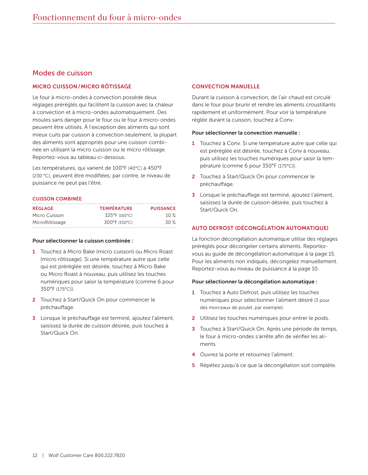# Modes de cuisson

#### MICRO CUISSON/MICRO RÔTISSAGE

Le four à micro-ondes à convection possède deux réglages préréglés qui facilitent la cuisson avec la chaleur à convection et à micro-ondes automatiquement. Des moules sans danger pour le four ou le four à micro-ondes peuvent être utilisés. À l'exception des aliments qui sont mieux cuits par cuisson à convection seulement, la plupart des aliments sont appropriés pour une cuisson combinée en utilisant la micro cuisson ou le micro rôtissage. Reportez-vous au tableau ci-dessous.

Les températures, qui varient de 100°F (40°C) à 450°F (230 °C), peuvent être modifiées; par contre, le niveau de puissance ne peut pas l'être.

#### CUISSON COMBINÉE

| <b>RÉGLAGE</b> | <b>TEMPÉRATURE</b> | <b>PUISSANCE</b> |
|----------------|--------------------|------------------|
| Micro Cuisson  | 325°F (165°C)      | $10\%$           |
| MicroRôtissage | 300°F (150°C)      | 30 %             |

#### Pour sélectionner la cuisson combinée :

- 1 Touchez à Micro Bake (micro cuisson) ou Micro Roast (micro rôtissage). Si une température autre que celle qui est préréglée est désirée, touchez à Micro Bake ou Micro Roast à nouveau, puis utilisez les touches numériques pour saisir la température (comme 6 pour 350°F (175°C)).
- 2 Touchez à Start/Quick On pour commencer le préchauffage.
- 3 Lorsque le préchauffage est terminé, ajoutez l'aliment, saisissez la durée de cuisson désirée, puis touchez à Start/Quick On.

#### CONVECTION MANUELLE

Durant la cuisson à convection, de l'air chaud est circulé dans le four pour brunir et rendre les aliments croustillants rapidement et uniformément. Pour voir la température réglée durant la cuisson, touchez à Conv.

#### Pour sélectionner la convection manuelle :

- 1 Touchez à Conv. Si une température autre que celle qui est préréglée est désirée, touchez à Conv à nouveau, puis utilisez les touches numériques pour saisir la température (comme 6 pour 350°F (175°C)).
- 2 Touchez à Start/Quick On pour commencer le préchauffage.
- 3 Lorsque le préchauffage est terminé, ajoutez l'aliment, saisissez la durée de cuisson désirée, puis touchez à Start/Quick On.

#### AUTO DEFROST (DÉCONGÉLATION AUTOMATIQUE)

La fonction décongélation automatique utilise des réglages préréglés pour décongeler certains aliments. Reportezvous au guide de décongélation automatique à la page 15. Pour les aliments non indiqués, décongelez manuellement. Reportez-vous au niveau de puissance à la page 10.

#### Pour sélectionner la décongélation automatique :

- 1 Touchez à Auto Defrost, puis utilisez les touches numériques pour sélectionner l'aliment désiré (3 pour des morceaux de poulet, par exemple).
- 2 Utilisez les touches numériques pour entrer le poids.
- **3** Touchez à Start/Quick On. Après une période de temps, le four à micro-ondes s'arrête afin de vérifier les aliments.
- 4 Ouvrez la porte et retournez l'aliment.
- 5 Répétez jusqu'à ce que la décongélation soit complète.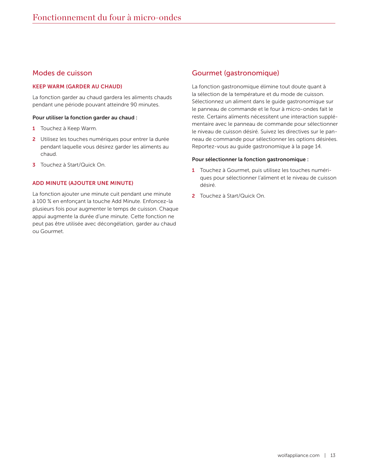# Modes de cuisson

#### KEEP WARM (GARDER AU CHAUD)

La fonction garder au chaud gardera les aliments chauds pendant une période pouvant atteindre 90 minutes.

#### Pour utiliser la fonction garder au chaud :

- 1 Touchez à Keep Warm.
- 2 Utilisez les touches numériques pour entrer la durée pendant laquelle vous désirez garder les aliments au chaud.
- 3 Touchez à Start/Quick On.

#### ADD MINUTE (AJOUTER UNE MINUTE)

La fonction ajouter une minute cuit pendant une minute à 100 % en enfonçant la touche Add Minute. Enfoncez-la plusieurs fois pour augmenter le temps de cuisson. Chaque appui augmente la durée d'une minute. Cette fonction ne peut pas être utilisée avec décongélation, garder au chaud ou Gourmet.

# Gourmet (gastronomique)

La fonction gastronomique élimine tout doute quant à la sélection de la température et du mode de cuisson. Sélectionnez un aliment dans le guide gastronomique sur le panneau de commande et le four à micro-ondes fait le reste. Certains aliments nécessitent une interaction supplémentaire avec le panneau de commande pour sélectionner le niveau de cuisson désiré. Suivez les directives sur le panneau de commande pour sélectionner les options désirées. Reportez-vous au guide gastronomique à la page 14.

#### Pour sélectionner la fonction gastronomique :

- 1 Touchez à Gourmet, puis utilisez les touches numériques pour sélectionner l'aliment et le niveau de cuisson désiré.
- 2 Touchez à Start/Quick On.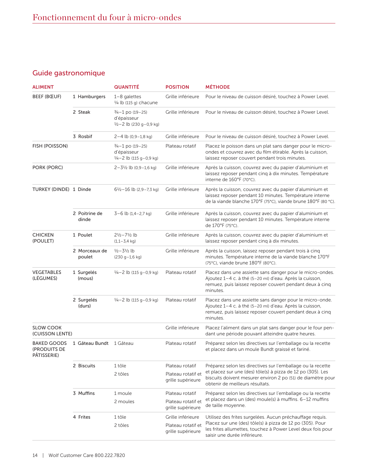# Guide gastronomique

| <b>ALIMENT</b>                                    |                         | <b>QUANTITÉ</b>                                                            | <b>POSITION</b>                         | <b>MÉTHODE</b>                                                                                                                                                                               |
|---------------------------------------------------|-------------------------|----------------------------------------------------------------------------|-----------------------------------------|----------------------------------------------------------------------------------------------------------------------------------------------------------------------------------------------|
| BEEF (BŒUF)                                       | 1 Hamburgers            | $1-8$ galettes<br>$\frac{1}{4}$ lb (115 g) chacune                         | Grille inférieure                       | Pour le niveau de cuisson désiré, touchez à Power Level.                                                                                                                                     |
|                                                   | 2 Steak                 | $\frac{3}{4} - 1$ po (19-25)<br>d'épaisseur<br>$1/2 - 2$ lb (230 g-0,9 kg) | Grille inférieure                       | Pour le niveau de cuisson désiré, touchez à Power Level.                                                                                                                                     |
|                                                   | 3 Rosbif                | $2 - 4$ lb $(0, 9 - 1, 8$ kg)                                              | Grille inférieure                       | Pour le niveau de cuisson désiré, touchez à Power Level.                                                                                                                                     |
| FISH (POISSON)                                    |                         | $\frac{3}{4}$ –1 po (19–25)<br>d'épaisseur<br>$1/4 - 2$ lb (115 g-0,9 kg)  | Plateau rotatif                         | Placez le poisson dans un plat sans danger pour le micro-<br>ondes et couvrez avec du film étirable. Après la cuisson,<br>laissez reposer couvert pendant trois minutes.                     |
| PORK (PORC)                                       |                         | $2 - 3\frac{1}{2}$ lb (0,9-1,6 kg)                                         | Grille inférieure                       | Après la cuisson, couvrez avec du papier d'aluminium et<br>laissez reposer pendant cinq à dix minutes. Température<br>interne de 160°F (70°C).                                               |
| TURKEY (DINDE) 1 Dinde                            |                         | $6\frac{1}{2} - 16$ lb (2,9 – 7,3 kg)                                      | Grille inférieure                       | Après la cuisson, couvrez avec du papier d'aluminium et<br>laissez reposer pendant 10 minutes. Température interne<br>de la viande blanche 170°F (75°C), viande brune 180°F (80 °C).         |
|                                                   | 2 Poitrine de<br>dinde  | $3-6$ lb $(1,4-2,7)$ kg)                                                   | Grille inférieure                       | Après la cuisson, couvrez avec du papier d'aluminium et<br>laissez reposer pendant 10 minutes. Température interne<br>de 170°F (75°C).                                                       |
| <b>CHICKEN</b><br>(POULET)                        | 1 Poulet                | $2\frac{1}{2} - 7\frac{1}{2}$ lb<br>$(1, 1 - 3, 4 \text{ kg})$             | Grille inférieure                       | Après la cuisson, couvrez avec du papier d'aluminium et<br>laissez reposer pendant cinq à dix minutes.                                                                                       |
|                                                   | 2 Morceaux de<br>poulet | $\frac{1}{2} - \frac{31}{2}$ lb<br>$(230 g - 1, 6 kg)$                     | Grille inférieure                       | Après la cuisson, laissez reposer pendant trois à cinq<br>minutes. Température interne de la viande blanche 170°F<br>(75°C), viande brune 180°F (80°C).                                      |
| VEGETABLES<br>(LÉGUMES)                           | 1 Surgelés<br>(mous)    | $\frac{1}{4}$ - 2 lb (115 g - 0,9 kg)                                      | Plateau rotatif                         | Placez dans une assiette sans danger pour le micro-ondes.<br>Ajoutez 1-4 c. à thé (5-20 ml) d'eau. Après la cuisson,<br>remuez, puis laissez reposer couvert pendant deux à cinq<br>minutes. |
|                                                   | 2 Surgelés<br>(durs)    | $\frac{1}{4}$ - 2 lb (115 g - 0,9 kg)                                      | Plateau rotatif                         | Placez dans une assiette sans danger pour le micro-onde.<br>Ajoutez 1-4 c. à thé (5-20 ml) d'eau. Après la cuisson,<br>remuez, puis laissez reposer couvert pendant deux à cinq<br>minutes.  |
| <b>SLOW COOK</b><br>(CUISSON LENTE)               |                         |                                                                            | Grille inférieure                       | Placez l'aliment dans un plat sans danger pour le four pen-<br>dant une période pouvant atteindre quatre heures.                                                                             |
| <b>BAKED GOODS</b><br>(PRODUITS DE<br>PÂTISSERIE) | 1 Gâteau Bundt 1 Gâteau |                                                                            | Plateau rotatif                         | Préparez selon les directives sur l'emballage ou la recette<br>et placez dans un moule Bundt graissé et fariné.                                                                              |
|                                                   | 2 Biscuits              | 1 tôle                                                                     | Plateau rotatif                         | Préparez selon les directives sur l'emballage ou la recette                                                                                                                                  |
|                                                   |                         | 2 tôles                                                                    | Plateau rotatif et<br>grille supérieure | et placez sur une (des) tôle(s) à pizza de 12 po (305). Les<br>biscuits doivent mesurer environ 2 po (51) de diamètre pour<br>obtenir de meilleurs résultats.                                |
|                                                   | 3 Muffins               | 1 moule                                                                    | Plateau rotatif                         | Préparez selon les directives sur l'emballage ou la recette                                                                                                                                  |
|                                                   |                         | 2 moules                                                                   | Plateau rotatif et<br>grille supérieure | et placez dans un (des) moule(s) à muffins. 6-12 muffins<br>de taille moyenne.                                                                                                               |
|                                                   | 4 Frites                | 1 tôle                                                                     | Grille inférieure                       | Utilisez des frites surgelées. Aucun préchauffage requis.                                                                                                                                    |
|                                                   |                         | 2 tôles                                                                    | Plateau rotatif et<br>grille supérieure | Placez sur une (des) tôle(s) à pizza de 12 po (305). Pour<br>les frites allumettes, touchez à Power Level deux fois pour<br>saisir une durée inférieure.                                     |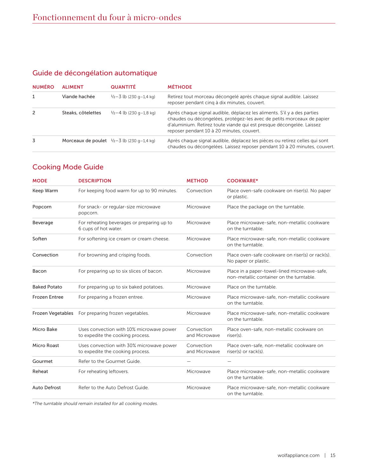# Guide de décongélation automatique

| <b>NUMÉRO</b>  | <b>ALIMENT</b>     | <b>QUANTITÉ</b>                              | <b>MÉTHODE</b>                                                                                                                                                                                                                                                           |
|----------------|--------------------|----------------------------------------------|--------------------------------------------------------------------------------------------------------------------------------------------------------------------------------------------------------------------------------------------------------------------------|
| 1              | Viande hachée      | $\frac{1}{2}$ -3 lb (230 g-1,4 kg)           | Retirez tout morceau décongelé après chaque signal audible. Laissez<br>reposer pendant cing à dix minutes, couvert.                                                                                                                                                      |
| $\overline{c}$ | Steaks, côtelettes | $\frac{1}{2} - 4$ lb (230 g-1,8 kg)          | Après chaque signal audible, déplacez les aliments. S'il y a des parties<br>chaudes ou décongelées, protégez-les avec de petits morceaux de papier<br>d'aluminium. Retirez toute viande qui est presque décongelée. Laissez<br>reposer pendant 10 à 20 minutes, couvert. |
| 3              |                    | Morceaux de poulet $1/2-3$ lb (230 g-1.4 kg) | Après chaque signal audible, déplacez les pièces ou retirez celles qui sont<br>chaudes ou décongelées. Laissez reposer pendant 10 à 20 minutes, couvert.                                                                                                                 |

# Cooking Mode Guide

| <b>MODE</b>          | <b>DESCRIPTION</b>                                                           | <b>METHOD</b>               | <b>COOKWARE*</b>                                                                         |
|----------------------|------------------------------------------------------------------------------|-----------------------------|------------------------------------------------------------------------------------------|
| Keep Warm            | For keeping food warm for up to 90 minutes.                                  | Convection                  | Place oven-safe cookware on riser(s). No paper<br>or plastic.                            |
| Popcorn              | For snack- or regular-size microwave<br>popcorn.                             | Microwave                   | Place the package on the turntable.                                                      |
| Beverage             | For reheating beverages or preparing up to<br>6 cups of hot water.           | Microwave                   | Place microwave-safe, non-metallic cookware<br>on the turntable.                         |
| Soften               | For softening ice cream or cream cheese.                                     | Microwave                   | Place microwave-safe, non-metallic cookware<br>on the turntable.                         |
| Convection           | For browning and crisping foods.                                             | Convection                  | Place oven-safe cookware on riser(s) or rack(s).<br>No paper or plastic.                 |
| Bacon                | For preparing up to six slices of bacon.                                     | Microwave                   | Place in a paper-towel-lined microwave-safe,<br>non-metallic container on the turntable. |
| <b>Baked Potato</b>  | For preparing up to six baked potatoes.                                      | Microwave                   | Place on the turntable.                                                                  |
| <b>Frozen Entree</b> | For preparing a frozen entree.                                               | Microwave                   | Place microwave-safe, non-metallic cookware<br>on the turntable.                         |
|                      | Frozen Vegetables For preparing frozen vegetables.                           | Microwave                   | Place microwave-safe, non-metallic cookware<br>on the turntable.                         |
| Micro Bake           | Uses convection with 10% microwave power<br>to expedite the cooking process. | Convection<br>and Microwave | Place oven-safe, non-metallic cookware on<br>riser(s).                                   |
| Micro Roast          | Uses convection with 30% microwave power<br>to expedite the cooking process. | Convection<br>and Microwave | Place oven-safe, non-metallic cookware on<br>riser(s) or rack(s).                        |
| Gourmet              | Refer to the Gourmet Guide.                                                  |                             |                                                                                          |
| Reheat               | For reheating leftovers.                                                     | Microwave                   | Place microwave-safe, non-metallic cookware<br>on the turntable.                         |
| <b>Auto Defrost</b>  | Refer to the Auto Defrost Guide.                                             | Microwave                   | Place microwave-safe, non-metallic cookware<br>on the turntable.                         |

*\*The turntable should remain installed for all cooking modes.*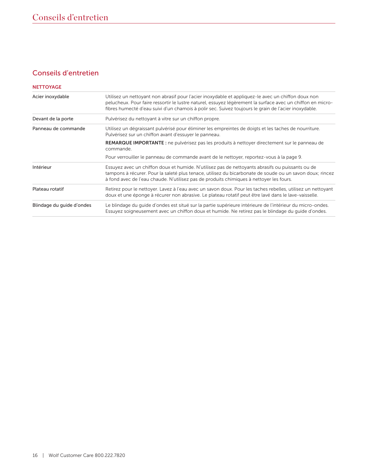# Conseils d'entretien

#### NETTOYAGE

| Acier inoxydable          | Utilisez un nettoyant non abrasif pour l'acier inoxydable et appliquez-le avec un chiffon doux non<br>pelucheux. Pour faire ressortir le lustre naturel, essuyez légèrement la surface avec un chiffon en micro-<br>fibres humecté d'eau suivi d'un chamois à polir sec. Suivez toujours le grain de l'acier inoxydable. |  |  |
|---------------------------|--------------------------------------------------------------------------------------------------------------------------------------------------------------------------------------------------------------------------------------------------------------------------------------------------------------------------|--|--|
| Devant de la porte        | Pulvérisez du nettoyant à vitre sur un chiffon propre.                                                                                                                                                                                                                                                                   |  |  |
| Panneau de commande       | Utilisez un dégraissant pulvérisé pour éliminer les empreintes de doigts et les taches de nourriture.<br>Pulvérisez sur un chiffon avant d'essuyer le panneau.                                                                                                                                                           |  |  |
|                           | <b>REMARQUE IMPORTANTE :</b> ne pulvérisez pas les produits à nettoyer directement sur le panneau de<br>commande.                                                                                                                                                                                                        |  |  |
|                           | Pour verrouiller le panneau de commande avant de le nettoyer, reportez-vous à la page 9.                                                                                                                                                                                                                                 |  |  |
| Intérieur                 | Essuyez avec un chiffon doux et humide. N'utilisez pas de nettoyants abrasifs ou puissants ou de<br>tampons à récurer. Pour la saleté plus tenace, utilisez du bicarbonate de soude ou un savon doux; rincez<br>à fond avec de l'eau chaude. N'utilisez pas de produits chimiques à nettoyer les fours.                  |  |  |
| Plateau rotatif           | Retirez pour le nettoyer. Lavez à l'eau avec un savon doux. Pour les taches rebelles, utilisez un nettoyant<br>doux et une éponge à récurer non abrasive. Le plateau rotatif peut être lavé dans le lave-vaisselle.                                                                                                      |  |  |
| Blindage du guide d'ondes | Le blindage du quide d'ondes est situé sur la partie supérieure intérieure de l'intérieur du micro-ondes.<br>Essuyez soigneusement avec un chiffon doux et humide. Ne retirez pas le blindage du quide d'ondes.                                                                                                          |  |  |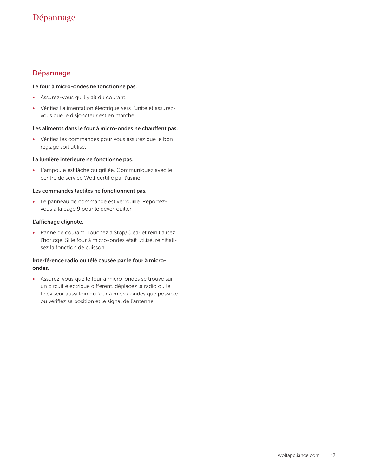# Dépannage

#### Le four à micro-ondes ne fonctionne pas.

- Assurez-vous qu'il y ait du courant.
- Vérifiez l'alimentation électrique vers l'unité et assurezvous que le disjoncteur est en marche.

#### Les aliments dans le four à micro-ondes ne chauffent pas.

• Vérifiez les commandes pour vous assurez que le bon réglage soit utilisé.

#### La lumière intérieure ne fonctionne pas.

• L'ampoule est lâche ou grillée. Communiquez avec le centre de service Wolf certifié par l'usine.

#### Les commandes tactiles ne fonctionnent pas.

• Le panneau de commande est verrouillé. Reportezvous à la page 9 pour le déverrouiller.

#### L'affichage clignote.

• Panne de courant. Touchez à Stop/Clear et réinitialisez l'horloge. Si le four à micro-ondes était utilisé, réinitialisez la fonction de cuisson.

#### Interférence radio ou télé causée par le four à microondes.

• Assurez-vous que le four à micro-ondes se trouve sur un circuit électrique différent, déplacez la radio ou le téléviseur aussi loin du four à micro-ondes que possible ou vérifiez sa position et le signal de l'antenne.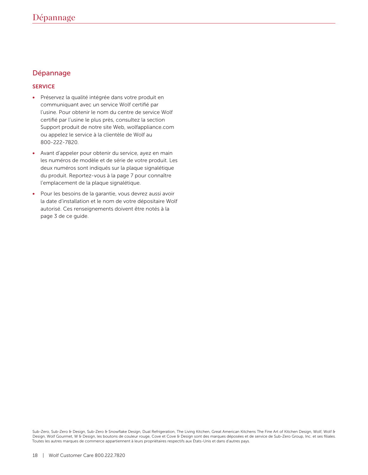# Dépannage

#### **SERVICE**

- Préservez la qualité intégrée dans votre produit en communiquant avec un service Wolf certifié par l'usine. Pour obtenir le nom du centre de service Wolf certifié par l'usine le plus près, consultez la section Support produit de notre site Web, wolfappliance.com ou appelez le service à la clientèle de Wolf au 800-222-7820.
- Avant d'appeler pour obtenir du service, ayez en main les numéros de modèle et de série de votre produit. Les deux numéros sont indiqués sur la plaque signalétique du produit. Reportez-vous à la page 7 pour connaître l'emplacement de la plaque signalétique.
- Pour les besoins de la garantie, vous devrez aussi avoir la date d'installation et le nom de votre dépositaire Wolf autorisé. Ces renseignements doivent être notés à la page 3 de ce guide.

Sub-Zero, Sub-Zero & Design, Sub-Zero & Snowflake Design, Dual Refrigeration, The Living Kitchen, Great American Kitchens The Fine Art of Kitchen Design, Wolf, Wolf & Design, Wolf Gourmet, W & Design, les boutons de couleur rouge, Cove et Cove & Design sont des marques déposées et de service de Sub-Zero Group, Inc. et ses filiales. Toutes les autres marques de commerce appartiennent à leurs propriétaires respectifs aux États-Unis et dans d'autres pays.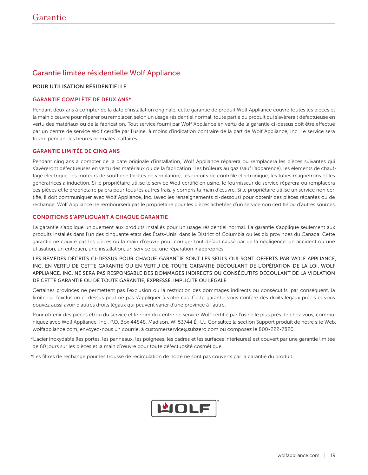# Garantie limitée résidentielle Wolf Appliance

#### POUR UTILISATION RÉSIDENTIELLE

#### GARANTIE COMPLÈTE DE DEUX ANS\*

Pendant deux ans à compter de la date d'installation originale, cette garantie de produit Wolf Appliance couvre toutes les pièces et la main d'œuvre pour réparer ou remplacer, selon un usage résidentiel normal, toute partie du produit qui s'avèrerait défectueuse en vertu des matériaux ou de la fabrication. Tout service fourni par Wolf Appliance en vertu de la garantie ci-dessus doit être effectué par un centre de service Wolf certifié par l'usine, à moins d'indication contraire de la part de Wolf Appliance, Inc. Le service sera fourni pendant les heures normales d'affaires.

#### GARANTIE LIMITÉE DE CINQ ANS

Pendant cinq ans à compter de la date originale d'installation, Wolf Appliance réparera ou remplacera les pièces suivantes qui s'avèreront défectueuses en vertu des matériaux ou de la fabrication : les brûleurs au gaz (sauf l'apparence), les éléments de chauffage électrique, les moteurs de soufflerie (hottes de ventilation), les circuits de contrôle électronique, les tubes magnétrons et les génératrices à induction. Si le propriétaire utilise le service Wolf certifié en usine, le fournisseur de service réparera ou remplacera ces pièces et le propriétaire paiera pour tous les autres frais, y compris la main d'œuvre. Si le propriétaire utilise un service non certifié, il doit communiquer avec Wolf Appliance, Inc. (avec les renseignements ci-dessous) pour obtenir des pièces réparées ou de rechange. Wolf Appliance ne remboursera pas le propriétaire pour les pièces achetées d'un service non certifié ou d'autres sources.

#### CONDITIONS S'APPLIQUANT À CHAQUE GARANTIE

La garantie s'applique uniquement aux produits installés pour un usage résidentiel normal. La garantie s'applique seulement aux produits installés dans l'un des cinquante états des États-Unis, dans le District of Columbia ou les dix provinces du Canada. Cette garantie ne couvre pas les pièces ou la main d'œuvre pour corriger tout défaut causé par de la négligence, un accident ou une utilisation, un entretien, une installation, un service ou une réparation inappropriés.

LES REMÈDES DÉCRITS CI-DESSUS POUR CHAQUE GARANTIE SONT LES SEULS QUI SONT OFFERTS PAR WOLF APPLIANCE, INC. EN VERTU DE CETTE GARANTIE OU EN VERTU DE TOUTE GARANTIE DÉCOULANT DE L'OPÉRATION DE LA LOI. WOLF APPLIANCE, INC. NE SERA PAS RESPONSABLE DES DOMMAGES INDIRECTS OU CONSÉCUTIFS DÉCOULANT DE LA VIOLATION DE CETTE GARANTIE OU DE TOUTE GARANTIE, EXPRESSE, IMPLICITE OU LÉGALE.

Certaines provinces ne permettent pas l'exclusion ou la restriction des dommages indirects ou consécutifs, par conséquent, la limite ou l'exclusion ci-dessus peut ne pas s'appliquer à votre cas. Cette garantie vous confère des droits légaux précis et vous pouvez aussi avoir d'autres droits légaux qui peuvent varier d'une province à l'autre.

Pour obtenir des pièces et/ou du service et le nom du centre de service Wolf certifié par l'usine le plus près de chez vous, communiquez avec Wolf Appliance, Inc., P.O. Box 44848, Madison, WI 53744 É.-U.; Consultez la section Support produit de notre site Web, wolfappliance.com, envoyez-nous un courriel à customerservice@subzero.com ou composez le 800-222-7820.

\*L'acier inoxydable (les portes, les panneaux, les poignées, les cadres et les surfaces intérieures) est couvert par une garantie limitée de 60 jours sur les pièces et la main d'œuvre pour toute défectuosité cosmétique.

\*Les filtres de rechange pour les trousse de recirculation de hotte ne sont pas couverts par la garantie du produit.